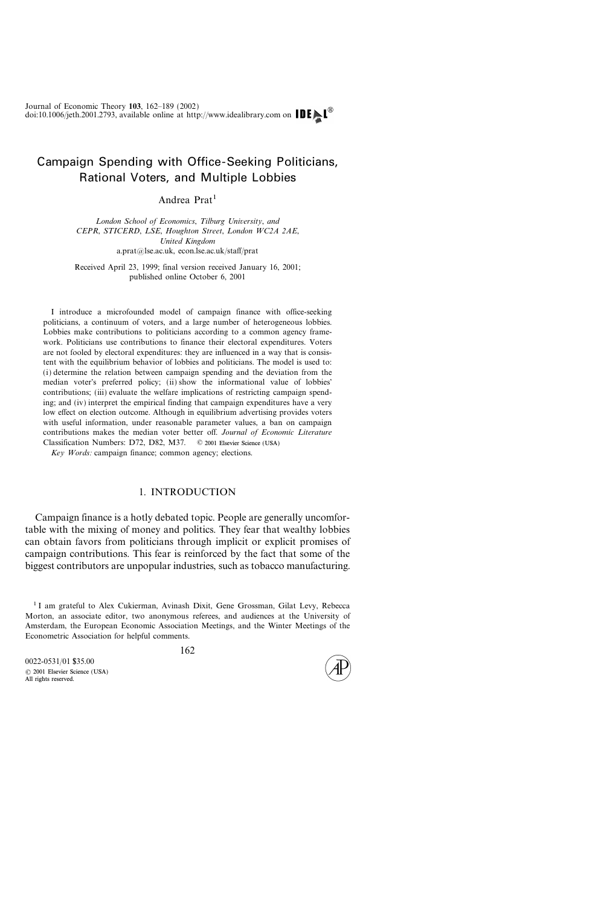# Campaign Spending with Office-Seeking Politicians, Rational Voters, and Multiple Lobbies

Andrea Prat<sup>1</sup>

London School of Economics, Tilburg University, and CEPR, STICERD, LSE, Houghton Street, London WC2A 2AE, United Kingdom  $a.prat@$ lse.ac.uk, econ.lse.ac.uk/staff/prat

Received April 23, 1999; final version received January 16, 2001; published online October 6, 2001

I introduce a microfounded model of campaign finance with office-seeking politicians, a continuum of voters, and a large number of heterogeneous lobbies. Lobbies make contributions to politicians according to a common agency framework. Politicians use contributions to finance their electoral expenditures. Voters are not fooled by electoral expenditures: they are influenced in a way that is consistent with the equilibrium behavior of lobbies and politicians. The model is used to: (i) determine the relation between campaign spending and the deviation from the median voter's preferred policy; (ii) show the informational value of lobbies' contributions; (iii) evaluate the welfare implications of restricting campaign spending; and (iv) interpret the empirical finding that campaign expenditures have a very low effect on election outcome. Although in equilibrium advertising provides voters with useful information, under reasonable parameter values, a ban on campaign contributions makes the median voter better off. Journal of Economic Literature Classification Numbers: D72, D82, M37. © 2001 Elsevier Science (USA)

Key Words: campaign finance; common agency; elections.

## 1. INTRODUCTION

Campaign finance is a hotly debated topic. People are generally uncomfortable with the mixing of money and politics. They fear that wealthy lobbies can obtain favors from politicians through implicit or explicit promises of campaign contributions. This fear is reinforced by the fact that some of the biggest contributors are unpopular industries, such as tobacco manufacturing.

<sup>1</sup> I am grateful to Alex Cukierman, Avinash Dixit, Gene Grossman, Gilat Levy, Rebecca Morton, an associate editor, two anonymous referees, and audiences at the University of Amsterdam, the European Economic Association Meetings, and the Winter Meetings of the Econometric Association for helpful comments.

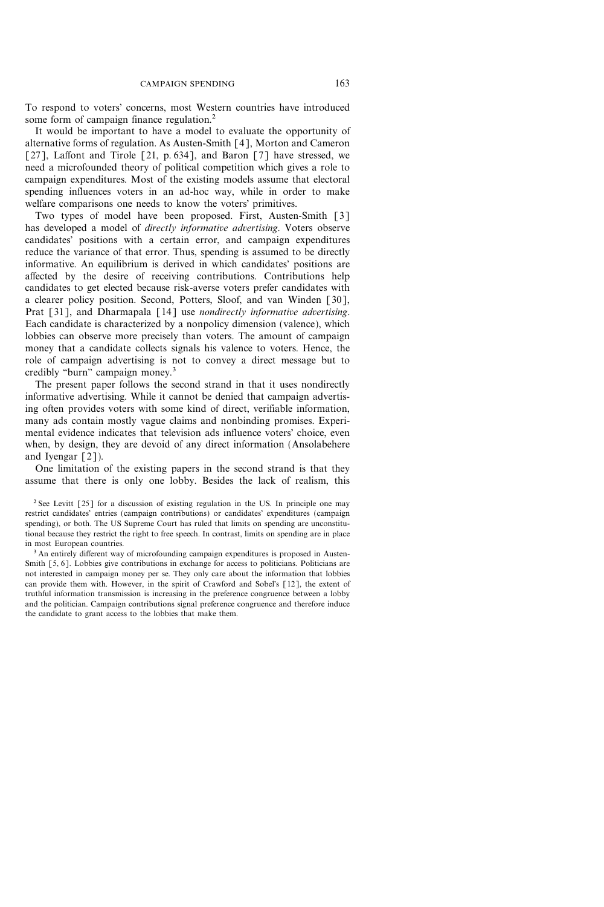To respond to voters' concerns, most Western countries have introduced some form of campaign finance regulation.<sup>2</sup>

It would be important to have a model to evaluate the opportunity of alternative forms of regulation. As Austen-Smith [4], Morton and Cameron [27], Laffont and Tirole [21, p. 634], and Baron [7] have stressed, we need a microfounded theory of political competition which gives a role to campaign expenditures. Most of the existing models assume that electoral spending influences voters in an ad-hoc way, while in order to make welfare comparisons one needs to know the voters' primitives.

Two types of model have been proposed. First, Austen-Smith [3] has developed a model of directly informative advertising. Voters observe candidates' positions with a certain error, and campaign expenditures reduce the variance of that error. Thus, spending is assumed to be directly informative. An equilibrium is derived in which candidates' positions are affected by the desire of receiving contributions. Contributions help candidates to get elected because risk-averse voters prefer candidates with a clearer policy position. Second, Potters, Sloof, and van Winden [30], Prat [31], and Dharmapala [14] use nondirectly informative advertising. Each candidate is characterized by a nonpolicy dimension (valence), which lobbies can observe more precisely than voters. The amount of campaign money that a candidate collects signals his valence to voters. Hence, the role of campaign advertising is not to convey a direct message but to credibly "burn" campaign money.<sup>3</sup>

The present paper follows the second strand in that it uses nondirectly informative advertising. While it cannot be denied that campaign advertising often provides voters with some kind of direct, verifiable information, many ads contain mostly vague claims and nonbinding promises. Experimental evidence indicates that television ads influence voters' choice, even when, by design, they are devoid of any direct information (Ansolabehere and Iyengar [2]).

One limitation of the existing papers in the second strand is that they assume that there is only one lobby. Besides the lack of realism, this

<sup>2</sup> See Levitt [25] for a discussion of existing regulation in the US. In principle one may restrict candidates' entries (campaign contributions) or candidates' expenditures (campaign spending), or both. The US Supreme Court has ruled that limits on spending are unconstitutional because they restrict the right to free speech. In contrast, limits on spending are in place in most European countries.

<sup>3</sup> An entirely different way of microfounding campaign expenditures is proposed in Austen-Smith [5, 6]. Lobbies give contributions in exchange for access to politicians. Politicians are not interested in campaign money per se. They only care about the information that lobbies can provide them with. However, in the spirit of Crawford and Sobel's [12], the extent of truthful information transmission is increasing in the preference congruence between a lobby and the politician. Campaign contributions signal preference congruence and therefore induce the candidate to grant access to the lobbies that make them.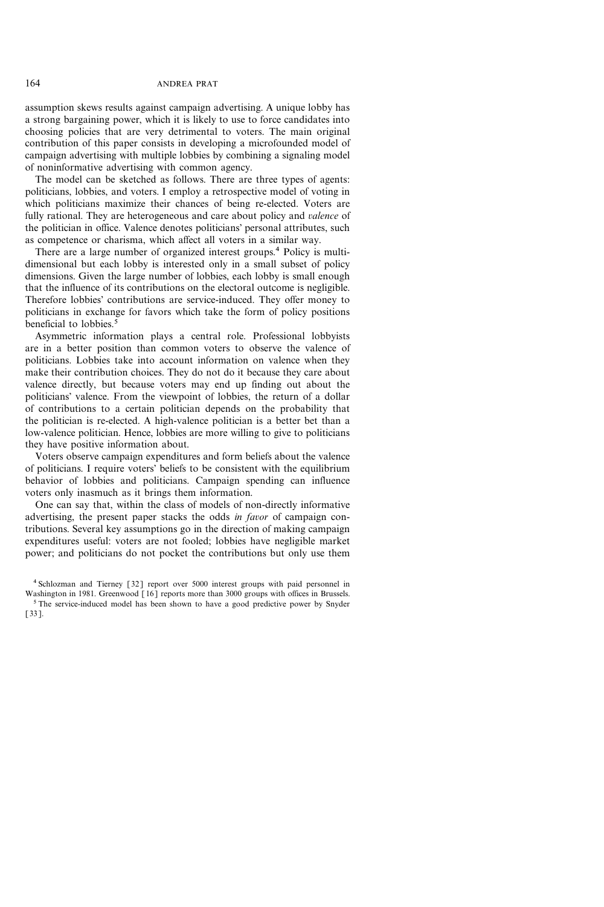assumption skews results against campaign advertising. A unique lobby has a strong bargaining power, which it is likely to use to force candidates into choosing policies that are very detrimental to voters. The main original contribution of this paper consists in developing a microfounded model of campaign advertising with multiple lobbies by combining a signaling model of noninformative advertising with common agency.

The model can be sketched as follows. There are three types of agents: politicians, lobbies, and voters. I employ a retrospective model of voting in which politicians maximize their chances of being re-elected. Voters are fully rational. They are heterogeneous and care about policy and *valence* of the politician in office. Valence denotes politicians' personal attributes, such as competence or charisma, which affect all voters in a similar way.

There are a large number of organized interest groups.<sup>4</sup> Policy is multidimensional but each lobby is interested only in a small subset of policy dimensions. Given the large number of lobbies, each lobby is small enough that the influence of its contributions on the electoral outcome is negligible. Therefore lobbies' contributions are service-induced. They offer money to politicians in exchange for favors which take the form of policy positions beneficial to lobbies.<sup>5</sup>

Asymmetric information plays a central role. Professional lobbyists are in a better position than common voters to observe the valence of politicians. Lobbies take into account information on valence when they make their contribution choices. They do not do it because they care about valence directly, but because voters may end up finding out about the politicians' valence. From the viewpoint of lobbies, the return of a dollar of contributions to a certain politician depends on the probability that the politician is re-elected. A high-valence politician is a better bet than a low-valence politician. Hence, lobbies are more willing to give to politicians they have positive information about.

Voters observe campaign expenditures and form beliefs about the valence of politicians. I require voters' beliefs to be consistent with the equilibrium behavior of lobbies and politicians. Campaign spending can influence voters only inasmuch as it brings them information.

One can say that, within the class of models of non-directly informative advertising, the present paper stacks the odds in favor of campaign contributions. Several key assumptions go in the direction of making campaign expenditures useful: voters are not fooled; lobbies have negligible market power; and politicians do not pocket the contributions but only use them

<sup>4</sup> Schlozman and Tierney [32] report over 5000 interest groups with paid personnel in Washington in 1981. Greenwood [16] reports more than 3000 groups with offices in Brussels.

<sup>&</sup>lt;sup>5</sup> The service-induced model has been shown to have a good predictive power by Snyder [33].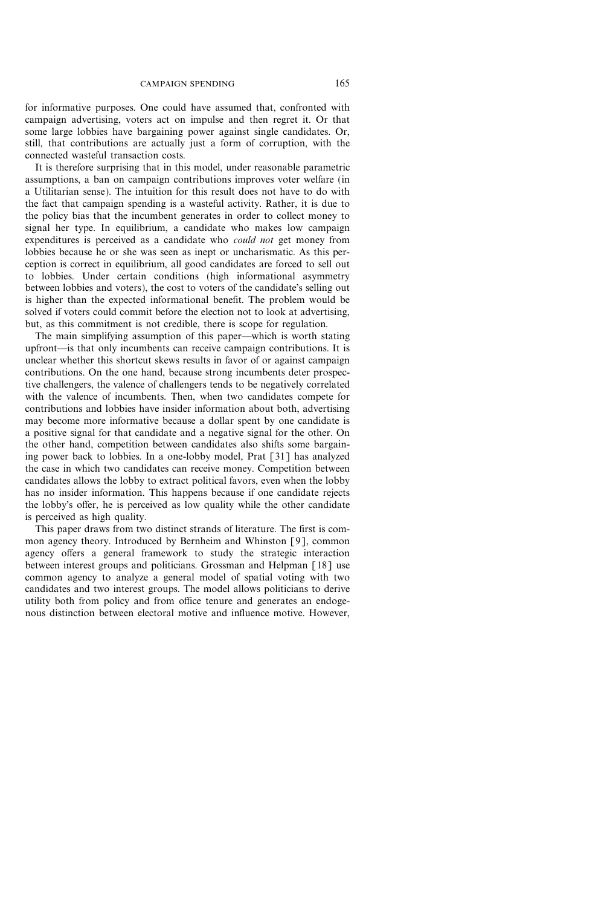for informative purposes. One could have assumed that, confronted with campaign advertising, voters act on impulse and then regret it. Or that some large lobbies have bargaining power against single candidates. Or, still, that contributions are actually just a form of corruption, with the connected wasteful transaction costs.

It is therefore surprising that in this model, under reasonable parametric assumptions, a ban on campaign contributions improves voter welfare (in a Utilitarian sense). The intuition for this result does not have to do with the fact that campaign spending is a wasteful activity. Rather, it is due to the policy bias that the incumbent generates in order to collect money to signal her type. In equilibrium, a candidate who makes low campaign expenditures is perceived as a candidate who *could not* get money from lobbies because he or she was seen as inept or uncharismatic. As this perception is correct in equilibrium, all good candidates are forced to sell out to lobbies. Under certain conditions (high informational asymmetry between lobbies and voters), the cost to voters of the candidate's selling out is higher than the expected informational benefit. The problem would be solved if voters could commit before the election not to look at advertising, but, as this commitment is not credible, there is scope for regulation.

The main simplifying assumption of this paper—which is worth stating upfront—is that only incumbents can receive campaign contributions. It is unclear whether this shortcut skews results in favor of or against campaign contributions. On the one hand, because strong incumbents deter prospective challengers, the valence of challengers tends to be negatively correlated with the valence of incumbents. Then, when two candidates compete for contributions and lobbies have insider information about both, advertising may become more informative because a dollar spent by one candidate is a positive signal for that candidate and a negative signal for the other. On the other hand, competition between candidates also shifts some bargaining power back to lobbies. In a one-lobby model, Prat [31] has analyzed the case in which two candidates can receive money. Competition between candidates allows the lobby to extract political favors, even when the lobby has no insider information. This happens because if one candidate rejects the lobby's offer, he is perceived as low quality while the other candidate is perceived as high quality.

This paper draws from two distinct strands of literature. The first is common agency theory. Introduced by Bernheim and Whinston [9], common agency offers a general framework to study the strategic interaction between interest groups and politicians. Grossman and Helpman [18] use common agency to analyze a general model of spatial voting with two candidates and two interest groups. The model allows politicians to derive utility both from policy and from office tenure and generates an endogenous distinction between electoral motive and influence motive. However,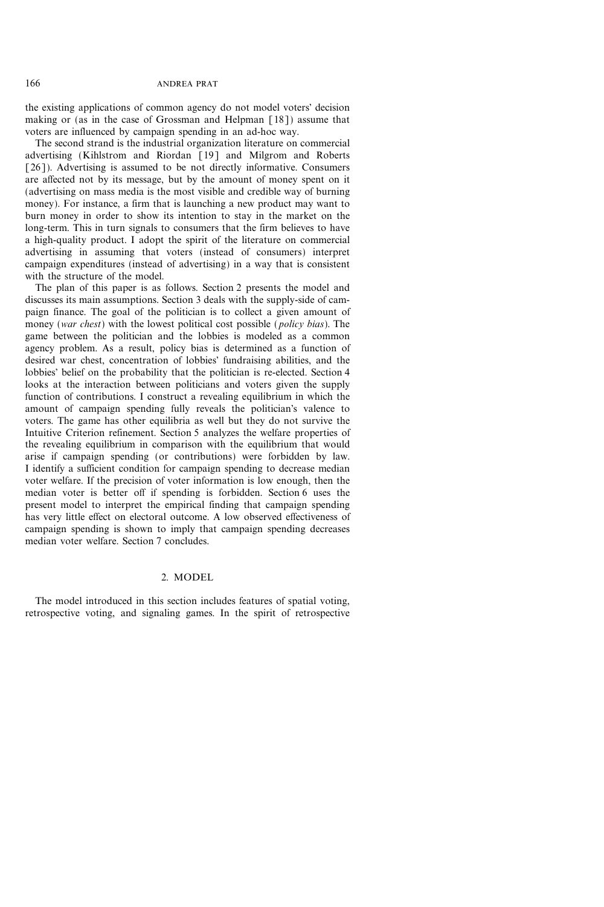the existing applications of common agency do not model voters' decision making or (as in the case of Grossman and Helpman [18]) assume that voters are influenced by campaign spending in an ad-hoc way.

The second strand is the industrial organization literature on commercial advertising (Kihlstrom and Riordan [19] and Milgrom and Roberts [26]). Advertising is assumed to be not directly informative. Consumers are affected not by its message, but by the amount of money spent on it (advertising on mass media is the most visible and credible way of burning money). For instance, a firm that is launching a new product may want to burn money in order to show its intention to stay in the market on the long-term. This in turn signals to consumers that the firm believes to have a high-quality product. I adopt the spirit of the literature on commercial advertising in assuming that voters (instead of consumers) interpret campaign expenditures (instead of advertising) in a way that is consistent with the structure of the model.

The plan of this paper is as follows. Section 2 presents the model and discusses its main assumptions. Section 3 deals with the supply-side of campaign finance. The goal of the politician is to collect a given amount of money (war chest) with the lowest political cost possible (*policy bias*). The game between the politician and the lobbies is modeled as a common agency problem. As a result, policy bias is determined as a function of desired war chest, concentration of lobbies' fundraising abilities, and the lobbies' belief on the probability that the politician is re-elected. Section 4 looks at the interaction between politicians and voters given the supply function of contributions. I construct a revealing equilibrium in which the amount of campaign spending fully reveals the politician's valence to voters. The game has other equilibria as well but they do not survive the Intuitive Criterion refinement. Section 5 analyzes the welfare properties of the revealing equilibrium in comparison with the equilibrium that would arise if campaign spending (or contributions) were forbidden by law. I identify a sufficient condition for campaign spending to decrease median voter welfare. If the precision of voter information is low enough, then the median voter is better off if spending is forbidden. Section 6 uses the present model to interpret the empirical finding that campaign spending has very little effect on electoral outcome. A low observed effectiveness of campaign spending is shown to imply that campaign spending decreases median voter welfare. Section 7 concludes.

## 2. MODEL

The model introduced in this section includes features of spatial voting, retrospective voting, and signaling games. In the spirit of retrospective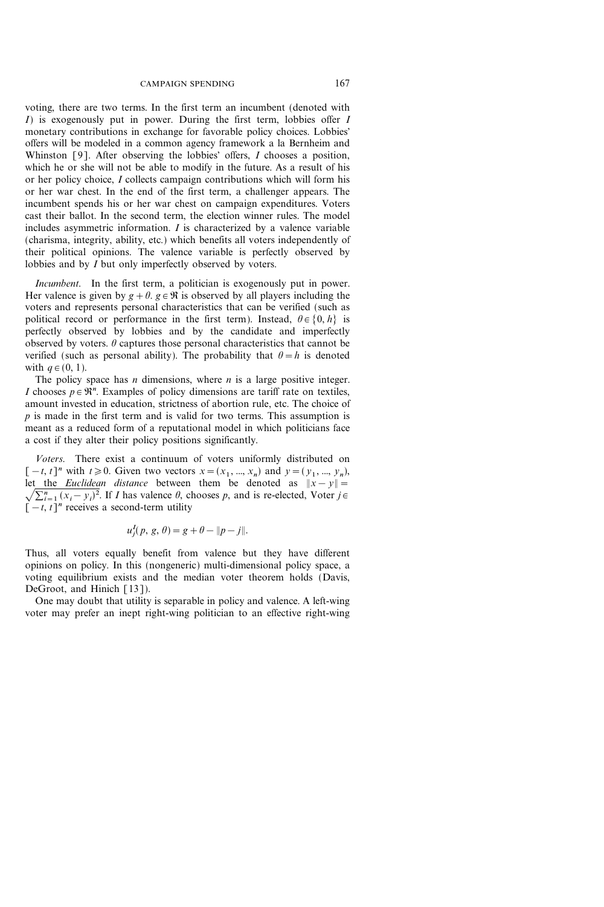voting, there are two terms. In the first term an incumbent (denoted with  $I$ ) is exogenously put in power. During the first term, lobbies offer  $I$ monetary contributions in exchange for favorable policy choices. Lobbies' offers will be modeled in a common agency framework a la Bernheim and Whinston [9]. After observing the lobbies' offers, I chooses a position, which he or she will not be able to modify in the future. As a result of his or her policy choice, I collects campaign contributions which will form his or her war chest. In the end of the first term, a challenger appears. The incumbent spends his or her war chest on campaign expenditures. Voters cast their ballot. In the second term, the election winner rules. The model includes asymmetric information.  $I$  is characterized by a valence variable (charisma, integrity, ability, etc.) which benefits all voters independently of their political opinions. The valence variable is perfectly observed by lobbies and by I but only imperfectly observed by voters.

Incumbent. In the first term, a politician is exogenously put in power. Her valence is given by  $g + \theta$ ,  $g \in \mathcal{R}$  is observed by all players including the voters and represents personal characteristics that can be verified (such as political record or performance in the first term). Instead,  $\theta \in \{0, h\}$  is perfectly observed by lobbies and by the candidate and imperfectly observed by voters.  $\theta$  captures those personal characteristics that cannot be verified (such as personal ability). The probability that  $\theta = h$  is denoted with  $q \in (0, 1)$ .

The policy space has  $n$  dimensions, where  $n$  is a large positive integer. *I* chooses  $p \in \mathbb{R}^n$ . Examples of policy dimensions are tariff rate on textiles, amount invested in education, strictness of abortion rule, etc. The choice of  $p$  is made in the first term and is valid for two terms. This assumption is meant as a reduced form of a reputational model in which politicians face a cost if they alter their policy positions significantly.

Voters. There exist a continuum of voters uniformly distributed on  $[-t, t]^n$  with  $t\geq 0$ . Given two vectors  $x=(x_1, ..., x_n)$  and  $y=(y_1, ..., y_n)$ , let the *Euclidean distance* between them be denoted as  $||x-y||=$  $\sqrt{\sum_{i=1}^{n} (x_i - y_i)^2}$ . If *I* has valence  $\theta$ , chooses *p*, and is re-elected, Voter  $j \in$  $\left[-t, t\right]$ <sup>n</sup> receives a second-term utility

$$
u_j^I(p, g, \theta) = g + \theta - ||p - j||.
$$

Thus, all voters equally benefit from valence but they have different opinions on policy. In this (nongeneric) multi-dimensional policy space, a voting equilibrium exists and the median voter theorem holds (Davis, DeGroot, and Hinich [13]).

One may doubt that utility is separable in policy and valence. A left-wing voter may prefer an inept right-wing politician to an effective right-wing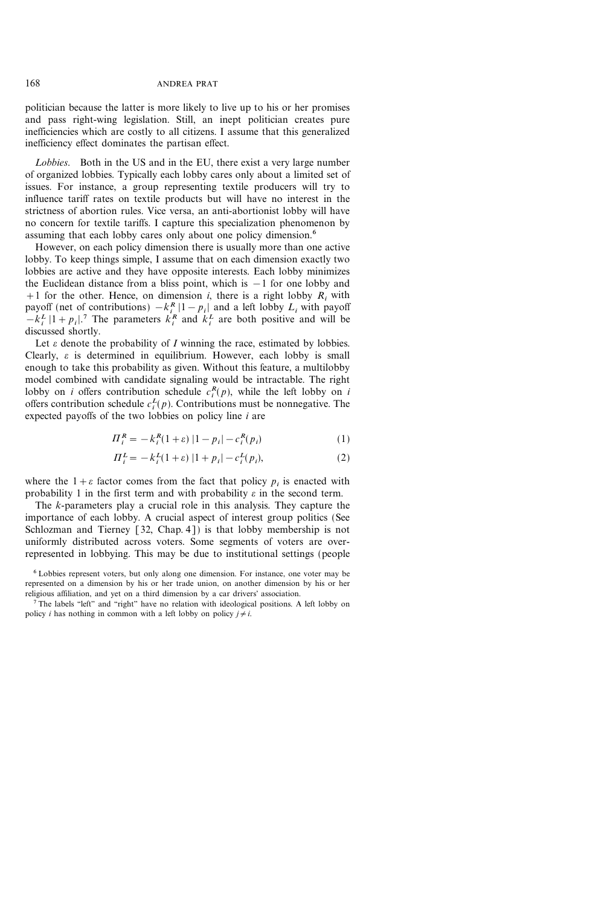## 168 ANDREA PRAT

politician because the latter is more likely to live up to his or her promises and pass right-wing legislation. Still, an inept politician creates pure inefficiencies which are costly to all citizens. I assume that this generalized inefficiency effect dominates the partisan effect.

Lobbies. Both in the US and in the EU, there exist a very large number of organized lobbies. Typically each lobby cares only about a limited set of issues. For instance, a group representing textile producers will try to influence tariff rates on textile products but will have no interest in the strictness of abortion rules. Vice versa, an anti-abortionist lobby will have no concern for textile tariffs. I capture this specialization phenomenon by assuming that each lobby cares only about one policy dimension.<sup>6</sup>

However, on each policy dimension there is usually more than one active lobby. To keep things simple, I assume that on each dimension exactly two lobbies are active and they have opposite interests. Each lobby minimizes the Euclidean distance from a bliss point, which is  $-1$  for one lobby and  $+1$  for the other. Hence, on dimension *i*, there is a right lobby *R*, with payoff (net of contributions)  $-k_i^R |1-p_i|$  and a left lobby  $L_i$  with payoff  $-k_i^L |1 + p_i|$ .<sup>7</sup> The parameters  $k_i^R$  and  $k_i^L$  are both positive and will be discussed shortly.

Let  $\varepsilon$  denote the probability of I winning the race, estimated by lobbies. Clearly,  $\varepsilon$  is determined in equilibrium. However, each lobby is small enough to take this probability as given. Without this feature, a multilobby model combined with candidate signaling would be intractable. The right lobby on *i* offers contribution schedule  $c_i^R(p)$ , while the left lobby on *i* offers contribution schedule  $c_i^L(p)$ . Contributions must be nonnegative. The expected payoffs of the two lobbies on policy line  $i$  are

$$
\Pi_i^R = -k_i^R (1 + \varepsilon) |1 - p_i| - c_i^R (p_i)
$$
 (1)

$$
\Pi_i^L = -k_i^L(1+\varepsilon) |1 + p_i| - c_i^L(p_i),\tag{2}
$$

where the  $1+\varepsilon$  factor comes from the fact that policy  $p_i$  is enacted with probability 1 in the first term and with probability  $\varepsilon$  in the second term.

The k-parameters play a crucial role in this analysis. They capture the importance of each lobby. A crucial aspect of interest group politics (See Schlozman and Tierney [32, Chap. 4]) is that lobby membership is not uniformly distributed across voters. Some segments of voters are overrepresented in lobbying. This may be due to institutional settings (people

<sup>6</sup> Lobbies represent voters, but only along one dimension. For instance, one voter may be represented on a dimension by his or her trade union, on another dimension by his or her religious affiliation, and yet on a third dimension by a car drivers' association.

<sup>&</sup>lt;sup>7</sup> The labels "left" and "right" have no relation with ideological positions. A left lobby on policy *i* has nothing in common with a left lobby on policy  $i \neq i$ .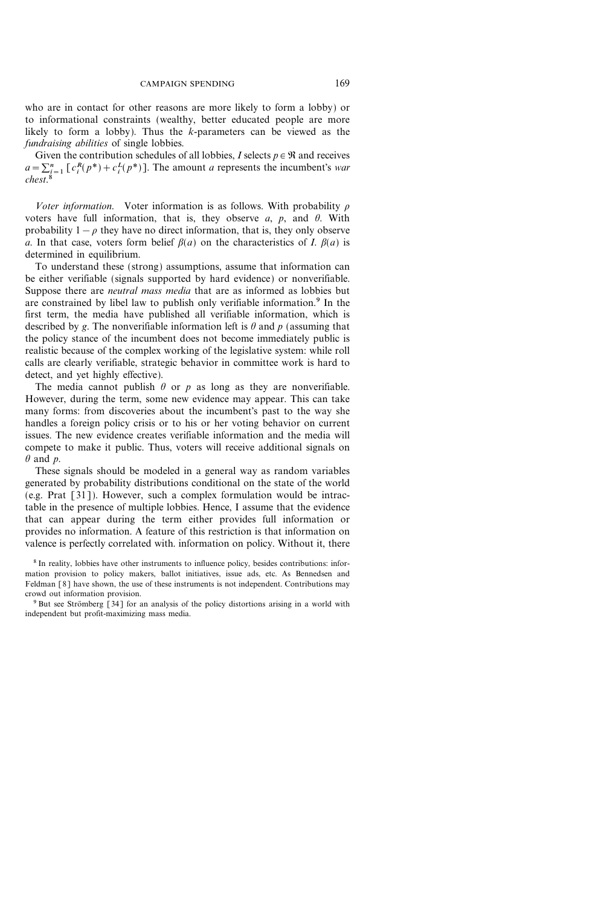who are in contact for other reasons are more likely to form a lobby) or to informational constraints (wealthy, better educated people are more likely to form a lobby). Thus the k-parameters can be viewed as the fundraising abilities of single lobbies.

Given the contribution schedules of all lobbies, I selects  $p \in \mathcal{R}$  and receives  $a = \sum_{i=1}^{n} \left[ c_i^R(p^*) + c_i^L(p^*) \right]$ . The amount a represents the incumbent's war chest. 8

Voter information. Voter information is as follows. With probability  $\rho$ voters have full information, that is, they observe a, p, and  $\theta$ . With probability  $1-\rho$  they have no direct information, that is, they only observe a. In that case, voters form belief  $\beta(a)$  on the characteristics of I.  $\beta(a)$  is determined in equilibrium.

To understand these (strong) assumptions, assume that information can be either verifiable (signals supported by hard evidence) or nonverifiable. Suppose there are neutral mass media that are as informed as lobbies but are constrained by libel law to publish only verifiable information.<sup>9</sup> In the first term, the media have published all verifiable information, which is described by g. The nonverifiable information left is  $\theta$  and p (assuming that the policy stance of the incumbent does not become immediately public is realistic because of the complex working of the legislative system: while roll calls are clearly verifiable, strategic behavior in committee work is hard to detect, and yet highly effective).

The media cannot publish  $\theta$  or p as long as they are nonverifiable. However, during the term, some new evidence may appear. This can take many forms: from discoveries about the incumbent's past to the way she handles a foreign policy crisis or to his or her voting behavior on current issues. The new evidence creates verifiable information and the media will compete to make it public. Thus, voters will receive additional signals on  $\theta$  and p.

These signals should be modeled in a general way as random variables generated by probability distributions conditional on the state of the world (e.g. Prat [31]). However, such a complex formulation would be intractable in the presence of multiple lobbies. Hence, I assume that the evidence that can appear during the term either provides full information or provides no information. A feature of this restriction is that information on valence is perfectly correlated with. information on policy. Without it, there

<sup>8</sup> In reality, lobbies have other instruments to influence policy, besides contributions: information provision to policy makers, ballot initiatives, issue ads, etc. As Bennedsen and Feldman [8] have shown, the use of these instruments is not independent. Contributions may crowd out information provision.

<sup>9</sup> But see Strömberg [34] for an analysis of the policy distortions arising in a world with independent but profit-maximizing mass media.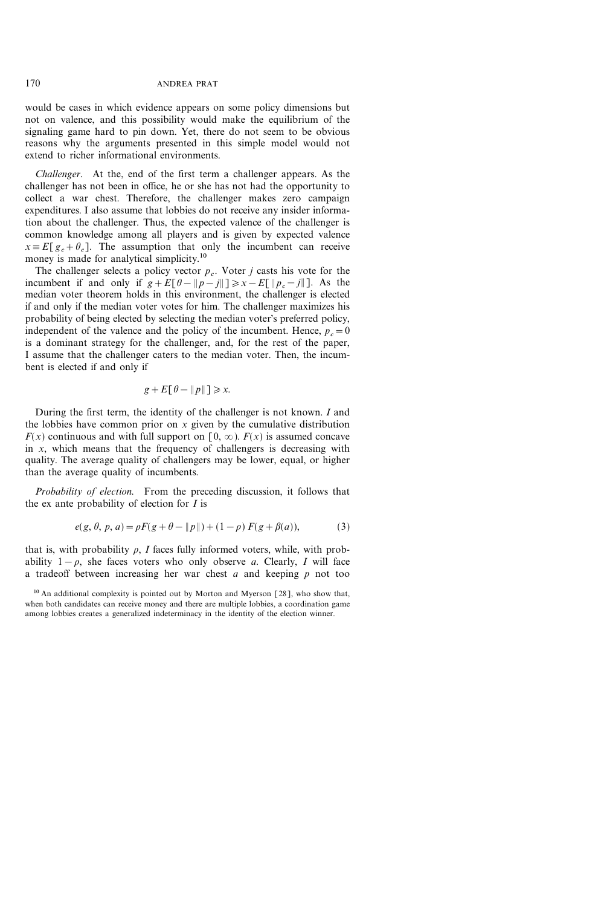## 170 ANDREA PRAT

would be cases in which evidence appears on some policy dimensions but not on valence, and this possibility would make the equilibrium of the signaling game hard to pin down. Yet, there do not seem to be obvious reasons why the arguments presented in this simple model would not extend to richer informational environments.

Challenger. At the, end of the first term a challenger appears. As the challenger has not been in office, he or she has not had the opportunity to collect a war chest. Therefore, the challenger makes zero campaign expenditures. I also assume that lobbies do not receive any insider information about the challenger. Thus, the expected valence of the challenger is common knowledge among all players and is given by expected valence  $x = E[g_c + \theta_c]$ . The assumption that only the incumbent can receive money is made for analytical simplicity.<sup>10</sup>

The challenger selects a policy vector  $p_c$ . Voter j casts his vote for the incumbent if and only if  $g + E[\theta - ||p - j||] \ge x - E[||p_c - j||]$ . As the median voter theorem holds in this environment, the challenger is elected if and only if the median voter votes for him. The challenger maximizes his probability of being elected by selecting the median voter's preferred policy, independent of the valence and the policy of the incumbent. Hence,  $p_c=0$ is a dominant strategy for the challenger, and, for the rest of the paper, I assume that the challenger caters to the median voter. Then, the incumbent is elected if and only if

$$
g + E[\theta - ||p||] \ge x.
$$

During the first term, the identity of the challenger is not known. I and the lobbies have common prior on  $x$  given by the cumulative distribution  $F(x)$  continuous and with full support on  $[0, \infty)$ .  $F(x)$  is assumed concave in  $x$ , which means that the frequency of challengers is decreasing with quality. The average quality of challengers may be lower, equal, or higher than the average quality of incumbents.

Probability of election. From the preceding discussion, it follows that the ex ante probability of election for  $I$  is

$$
e(g, \theta, p, a) = \rho F(g + \theta - ||p||) + (1 - \rho) F(g + \beta(a)),
$$
 (3)

that is, with probability  $\rho$ , I faces fully informed voters, while, with probability  $1-\rho$ , she faces voters who only observe a. Clearly, I will face a tradeoff between increasing her war chest  $a$  and keeping  $p$  not too

<sup>&</sup>lt;sup>10</sup> An additional complexity is pointed out by Morton and Myerson  $\lceil 28 \rceil$ , who show that, when both candidates can receive money and there are multiple lobbies, a coordination game among lobbies creates a generalized indeterminacy in the identity of the election winner.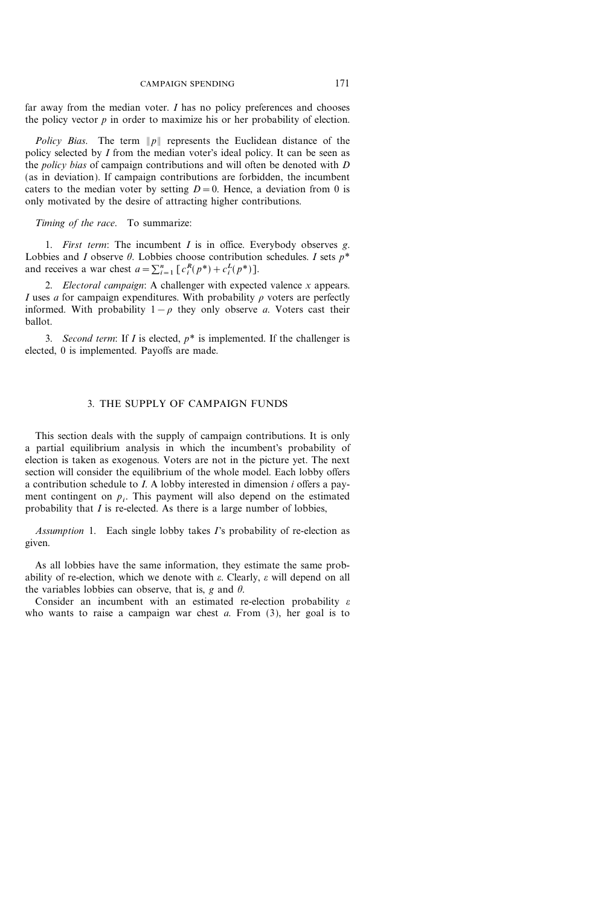far away from the median voter.  $I$  has no policy preferences and chooses the policy vector  $p$  in order to maximize his or her probability of election.

Policy Bias. The term  $\|p\|$  represents the Euclidean distance of the policy selected by I from the median voter's ideal policy. It can be seen as the *policy bias* of campaign contributions and will often be denoted with D (as in deviation). If campaign contributions are forbidden, the incumbent caters to the median voter by setting  $D=0$ . Hence, a deviation from 0 is only motivated by the desire of attracting higher contributions.

Timing of the race. To summarize:

1. First term: The incumbent  $I$  is in office. Everybody observes  $g$ . Lobbies and I observe  $\theta$ . Lobbies choose contribution schedules. I sets  $p^*$ and receives a war chest  $a = \sum_{i=1}^{n} [c_i^R (p^*) + c_i^L (p^*)]$ .

2. *Electoral campaign*: A challenger with expected valence  $x$  appears. I uses a for campaign expenditures. With probability  $\rho$  voters are perfectly informed. With probability  $1-\rho$  they only observe a. Voters cast their ballot.

3. Second term: If I is elected,  $p^*$  is implemented. If the challenger is elected, 0 is implemented. Payoffs are made.

## 3. THE SUPPLY OF CAMPAIGN FUNDS

This section deals with the supply of campaign contributions. It is only a partial equilibrium analysis in which the incumbent's probability of election is taken as exogenous. Voters are not in the picture yet. The next section will consider the equilibrium of the whole model. Each lobby offers a contribution schedule to  $\overline{I}$ . A lobby interested in dimension *i* offers a payment contingent on  $p_i$ . This payment will also depend on the estimated probability that  $I$  is re-elected. As there is a large number of lobbies,

Assumption 1. Each single lobby takes I's probability of re-election as given.

As all lobbies have the same information, they estimate the same probability of re-election, which we denote with  $\varepsilon$ . Clearly,  $\varepsilon$  will depend on all the variables lobbies can observe, that is, g and  $\theta$ .

Consider an incumbent with an estimated re-election probability  $\varepsilon$ who wants to raise a campaign war chest  $a$ . From  $(3)$ , her goal is to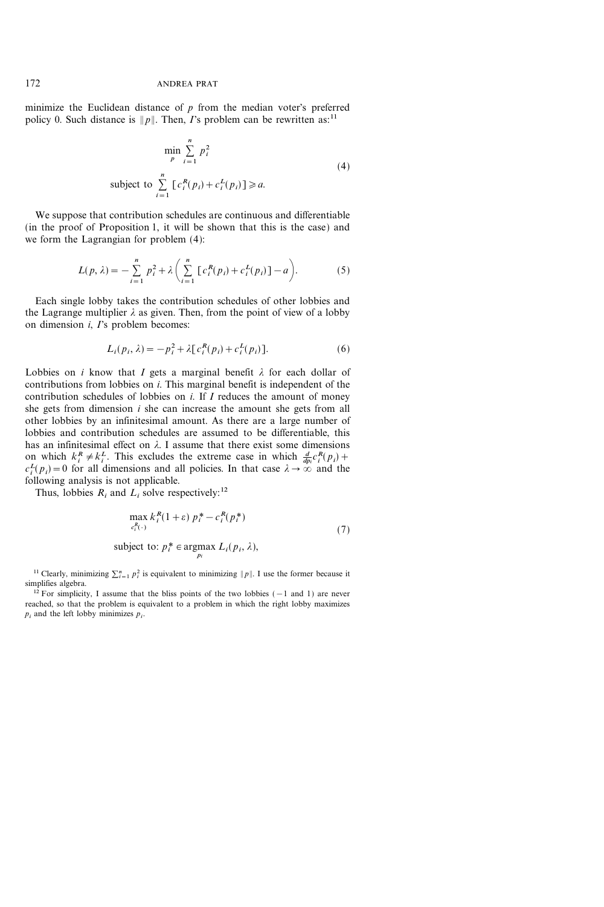minimize the Euclidean distance of  $p$  from the median voter's preferred policy 0. Such distance is  $\|p\|$ . Then, I's problem can be rewritten as:<sup>11</sup>

$$
\min_{p} \sum_{i=1}^{n} p_i^2
$$
  
subject to 
$$
\sum_{i=1}^{n} [c_i^R(p_i) + c_i^L(p_i)] \ge a.
$$
 (4)

We suppose that contribution schedules are continuous and differentiable (in the proof of Proposition 1, it will be shown that this is the case) and we form the Lagrangian for problem (4):

$$
L(p, \lambda) = -\sum_{i=1}^{n} p_i^2 + \lambda \left( \sum_{i=1}^{n} [c_i^R(p_i) + c_i^L(p_i)] - a \right).
$$
 (5)

Each single lobby takes the contribution schedules of other lobbies and the Lagrange multiplier  $\lambda$  as given. Then, from the point of view of a lobby on dimension  $i$ ,  $\Gamma$ 's problem becomes:

$$
L_i(p_i, \lambda) = -p_i^2 + \lambda [c_i^R(p_i) + c_i^L(p_i)].
$$
 (6)

Lobbies on *i* know that *I* gets a marginal benefit  $\lambda$  for each dollar of contributions from lobbies on i. This marginal benefit is independent of the contribution schedules of lobbies on  $i$ . If  $I$  reduces the amount of money she gets from dimension i she can increase the amount she gets from all other lobbies by an infinitesimal amount. As there are a large number of lobbies and contribution schedules are assumed to be differentiable, this has an infinitesimal effect on  $\lambda$ . I assume that there exist some dimensions on which  $k_i^R \neq k_i^L$ . This excludes the extreme case in which  $\frac{d}{dp_i} c_i^R(p_i)$  +  $c_i^L(p_i) = 0$  for all dimensions and all policies. In that case  $\lambda \to \infty$  and the following analysis is not applicable.

Thus, lobbies  $R_i$  and  $L_i$  solve respectively:<sup>12</sup>

$$
\max_{c_i^R(\cdot)} k_i^R (1 + \varepsilon) p_i^* - c_i^R (p_i^*)
$$
  
subject to:  $p_i^* \in \operatorname{argmax}_{p_i} L_i(p_i, \lambda),$  (7)

<sup>11</sup> Clearly, minimizing  $\sum_{i=1}^{n} p_i^2$  is equivalent to minimizing  $||p||$ . I use the former because it simplifies algebra.

<sup>12</sup> For simplicity, I assume that the bliss points of the two lobbies  $(-1 \text{ and } 1)$  are never reached, so that the problem is equivalent to a problem in which the right lobby maximizes  $p_i$  and the left lobby minimizes  $p_i$ .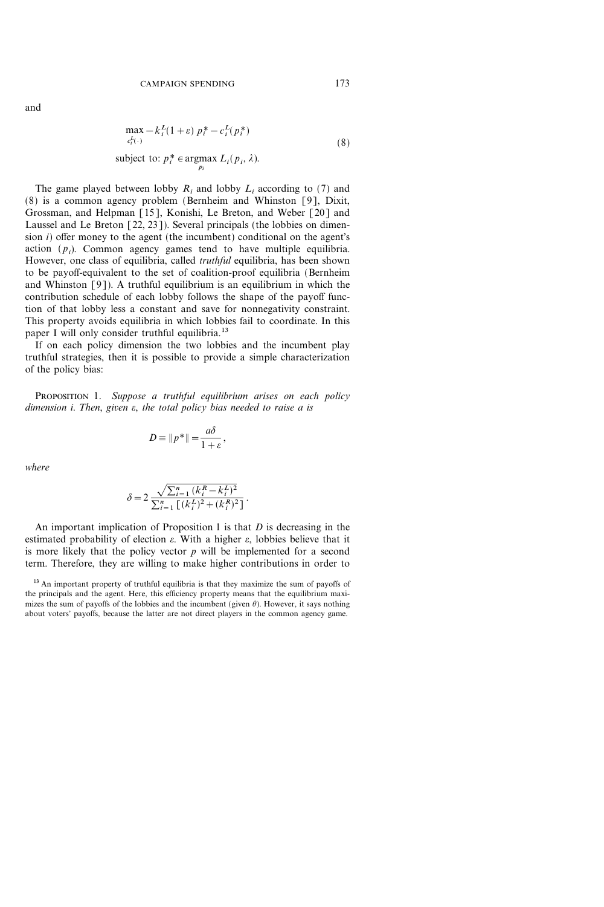$$
\max_{c_i^L(\cdot)} -k_i^L(1+\varepsilon) p_i^* - c_i^L(p_i^*)
$$
  
subject to:  $p_i^* \in \operatorname{argmax}_{p_i} L_i(p_i, \lambda).$  (8)

The game played between lobby  $R_i$  and lobby  $L_i$  according to (7) and (8) is a common agency problem (Bernheim and Whinston [9], Dixit, Grossman, and Helpman [15], Konishi, Le Breton, and Weber [20] and Laussel and Le Breton [22, 23]). Several principals (the lobbies on dimension *i*) offer money to the agent (the incumbent) conditional on the agent's action  $(p_i)$ . Common agency games tend to have multiple equilibria. However, one class of equilibria, called *truthful* equilibria, has been shown to be payoff-equivalent to the set of coalition-proof equilibria (Bernheim and Whinston [9]). A truthful equilibrium is an equilibrium in which the contribution schedule of each lobby follows the shape of the payoff function of that lobby less a constant and save for nonnegativity constraint. This property avoids equilibria in which lobbies fail to coordinate. In this paper I will only consider truthful equilibria.<sup>13</sup>

If on each policy dimension the two lobbies and the incumbent play truthful strategies, then it is possible to provide a simple characterization of the policy bias:

PROPOSITION 1. Suppose a truthful equilibrium arises on each policy dimension i. Then, given  $\varepsilon$ , the total policy bias needed to raise a is

$$
D \equiv ||p^*|| = \frac{a\delta}{1+\varepsilon},
$$

where

$$
\delta = 2 \frac{\sqrt{\sum_{i=1}^{n} (k_i^R - k_i^L)^2}}{\sum_{i=1}^{n} \left[ (k_i^L)^2 + (k_i^R)^2 \right]}.
$$

An important implication of Proposition 1 is that  $D$  is decreasing in the estimated probability of election  $\varepsilon$ . With a higher  $\varepsilon$ , lobbies believe that it is more likely that the policy vector  $p$  will be implemented for a second term. Therefore, they are willing to make higher contributions in order to

<sup>&</sup>lt;sup>13</sup> An important property of truthful equilibria is that they maximize the sum of payoffs of the principals and the agent. Here, this efficiency property means that the equilibrium maximizes the sum of payoffs of the lobbies and the incumbent (given  $\theta$ ). However, it says nothing about voters' payoffs, because the latter are not direct players in the common agency game.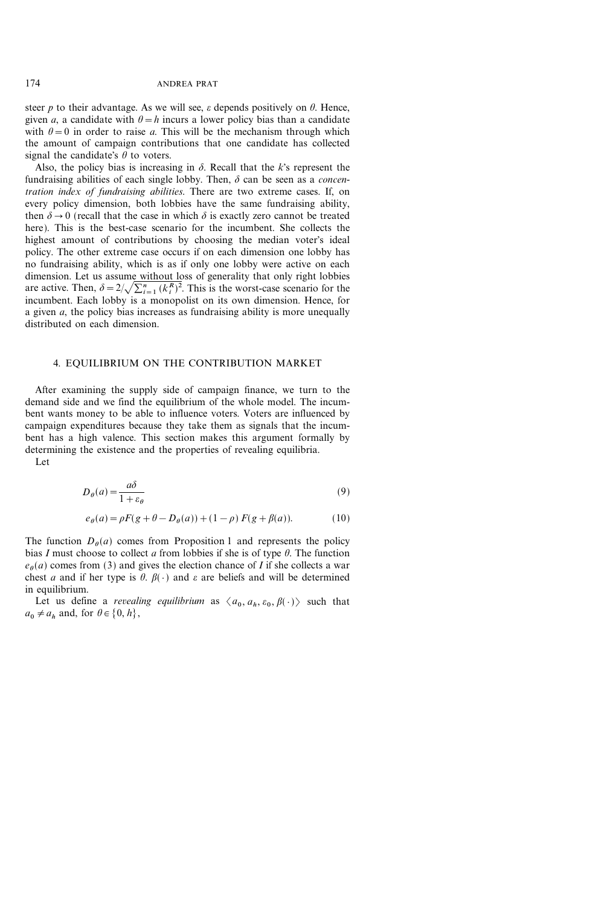steer p to their advantage. As we will see,  $\varepsilon$  depends positively on  $\theta$ . Hence, given a, a candidate with  $\theta = h$  incurs a lower policy bias than a candidate with  $\theta = 0$  in order to raise a. This will be the mechanism through which the amount of campaign contributions that one candidate has collected signal the candidate's  $\theta$  to voters.

Also, the policy bias is increasing in  $\delta$ . Recall that the k's represent the fundraising abilities of each single lobby. Then,  $\delta$  can be seen as a *concen*tration index of fundraising abilities. There are two extreme cases. If, on every policy dimension, both lobbies have the same fundraising ability, then  $\delta \rightarrow 0$  (recall that the case in which  $\delta$  is exactly zero cannot be treated here). This is the best-case scenario for the incumbent. She collects the highest amount of contributions by choosing the median voter's ideal policy. The other extreme case occurs if on each dimension one lobby has no fundraising ability, which is as if only one lobby were active on each dimension. Let us assume without loss of generality that only right lobbies are active. Then,  $\delta = 2/\sqrt{\sum_{i=1}^{n} (k_i^R)^2}$ . This is the worst-case scenario for the incumbent. Each lobby is a monopolist on its own dimension. Hence, for a given  $a$ , the policy bias increases as fundraising ability is more unequally distributed on each dimension.

# 4. EQUILIBRIUM ON THE CONTRIBUTION MARKET

After examining the supply side of campaign finance, we turn to the demand side and we find the equilibrium of the whole model. The incumbent wants money to be able to influence voters. Voters are influenced by campaign expenditures because they take them as signals that the incumbent has a high valence. This section makes this argument formally by determining the existence and the properties of revealing equilibria.

Let

$$
D_{\theta}(a) = \frac{a\delta}{1 + \varepsilon_{\theta}}\tag{9}
$$

$$
e_{\theta}(a) = \rho F(g + \theta - D_{\theta}(a)) + (1 - \rho) F(g + \beta(a)).
$$
 (10)

The function  $D_{\theta}(a)$  comes from Proposition 1 and represents the policy bias I must choose to collect a from lobbies if she is of type  $\theta$ . The function  $e_{\theta}(a)$  comes from (3) and gives the election chance of I if she collects a war chest a and if her type is  $\theta$ .  $\beta$ (·) and  $\varepsilon$  are beliefs and will be determined in equilibrium.

Let us define a *revealing equilibrium* as  $\langle a_0, a_h, \varepsilon_0, \beta(\cdot) \rangle$  such that  $a_0 \neq a_h$  and, for  $\theta \in \{0, h\},\$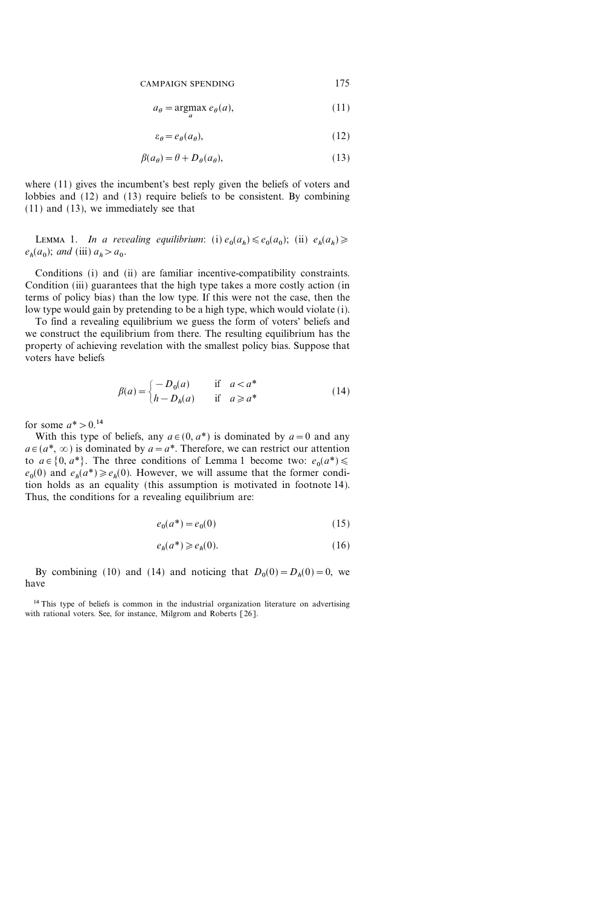$$
a_{\theta} = \underset{a}{\operatorname{argmax}} \, e_{\theta}(a), \tag{11}
$$

$$
\varepsilon_{\theta} = e_{\theta}(a_{\theta}),\tag{12}
$$

$$
\beta(a_{\theta}) = \theta + D_{\theta}(a_{\theta}),\tag{13}
$$

where (11) gives the incumbent's best reply given the beliefs of voters and lobbies and (12) and (13) require beliefs to be consistent. By combining (11) and (13), we immediately see that

LEMMA 1. In a revealing equilibrium: (i)  $e_0(a_h) \leq e_0(a_0)$ ; (ii)  $e_h(a_h) \geq$  $e_h(a_0)$ ; and (iii)  $a_h > a_0$ .

Conditions (i) and (ii) are familiar incentive-compatibility constraints. Condition (iii) guarantees that the high type takes a more costly action (in terms of policy bias) than the low type. If this were not the case, then the low type would gain by pretending to be a high type, which would violate (i).

To find a revealing equilibrium we guess the form of voters' beliefs and we construct the equilibrium from there. The resulting equilibrium has the property of achieving revelation with the smallest policy bias. Suppose that voters have beliefs

$$
\beta(a) = \begin{cases}\n-D_0(a) & \text{if } a < a^* \\
h - D_h(a) & \text{if } a \ge a^*\n\end{cases}
$$
\n(14)

for some  $a^*>0$ .<sup>14</sup>

With this type of beliefs, any  $a \in (0, a^*)$  is dominated by  $a = 0$  and any  $a \in (a^*, \infty)$  is dominated by  $a = a^*$ . Therefore, we can restrict our attention to  $a \in \{0, a^*\}$ . The three conditions of Lemma 1 become two:  $e_0(a^*) \leq$  $e_0(0)$  and  $e_h(a^*)\geq e_h(0)$ . However, we will assume that the former condition holds as an equality (this assumption is motivated in footnote 14). Thus, the conditions for a revealing equilibrium are:

$$
e_0(a^*) = e_0(0) \tag{15}
$$

$$
e_h(a^*) \ge e_h(0). \tag{16}
$$

By combining (10) and (14) and noticing that  $D_0(0) = D_h(0) = 0$ , we have

<sup>14</sup> This type of beliefs is common in the industrial organization literature on advertising with rational voters. See, for instance, Milgrom and Roberts [26].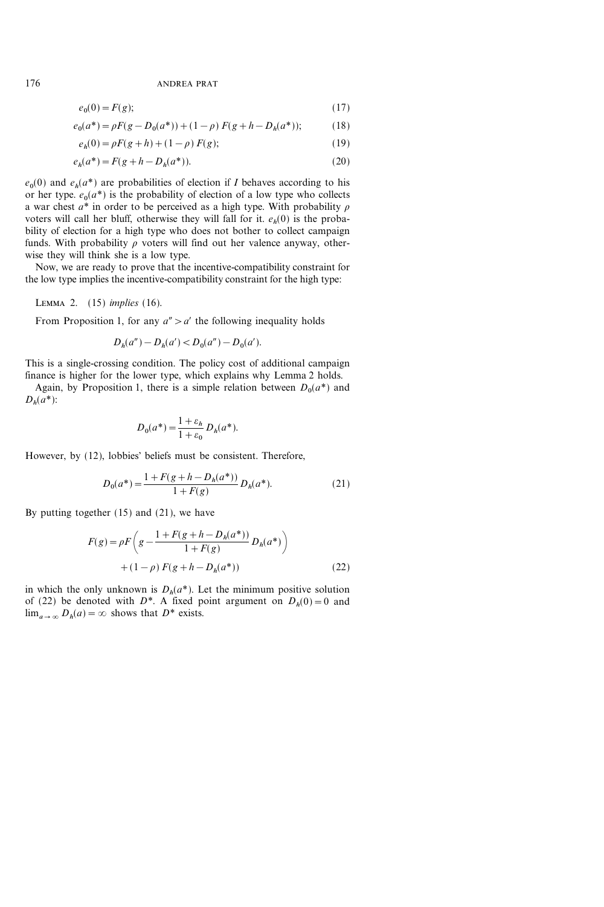$$
e_0(0) = F(g); \tag{17}
$$

$$
e_0(a^*) = \rho F(g - D_0(a^*)) + (1 - \rho) F(g + h - D_h(a^*)); \tag{18}
$$

$$
e_h(0) = \rho F(g+h) + (1-\rho) F(g); \tag{19}
$$

$$
e_h(a^*) = F(g + h - D_h(a^*)).
$$
\n(20)

 $e_0(0)$  and  $e_h(a^*)$  are probabilities of election if I behaves according to his or her type.  $e_0(a^*)$  is the probability of election of a low type who collects a war chest  $a^*$  in order to be perceived as a high type. With probability  $\rho$ voters will call her bluff, otherwise they will fall for it.  $e_h(0)$  is the probability of election for a high type who does not bother to collect campaign funds. With probability  $\rho$  voters will find out her valence anyway, otherwise they will think she is a low type.

Now, we are ready to prove that the incentive-compatibility constraint for the low type implies the incentive-compatibility constraint for the high type:

LEMMA 2. (15) *implies* (16).

From Proposition 1, for any  $a'' > a'$  the following inequality holds

$$
D_h(a'') - D_h(a') < D_0(a'') - D_0(a').
$$

This is a single-crossing condition. The policy cost of additional campaign finance is higher for the lower type, which explains why Lemma 2 holds.

Again, by Proposition 1, there is a simple relation between  $D_0(a^*)$  and  $D_{h}(a^{*})$ :

$$
D_0(a^*) = \frac{1 + \varepsilon_h}{1 + \varepsilon_0} D_h(a^*).
$$

However, by (12), lobbies' beliefs must be consistent. Therefore,

$$
D_0(a^*) = \frac{1 + F(g + h - D_h(a^*))}{1 + F(g)} D_h(a^*).
$$
 (21)

By putting together (15) and (21), we have

$$
F(g) = \rho F\left(g - \frac{1 + F(g + h - D_h(a^*))}{1 + F(g)} D_h(a^*)\right) + (1 - \rho) F(g + h - D_h(a^*))
$$
\n(22)

in which the only unknown is  $D_h(a^*)$ . Let the minimum positive solution of (22) be denoted with  $D^*$ . A fixed point argument on  $D_h(0)=0$  and  $\lim_{a\to\infty} D_h(a)=\infty$  shows that  $D^*$  exists.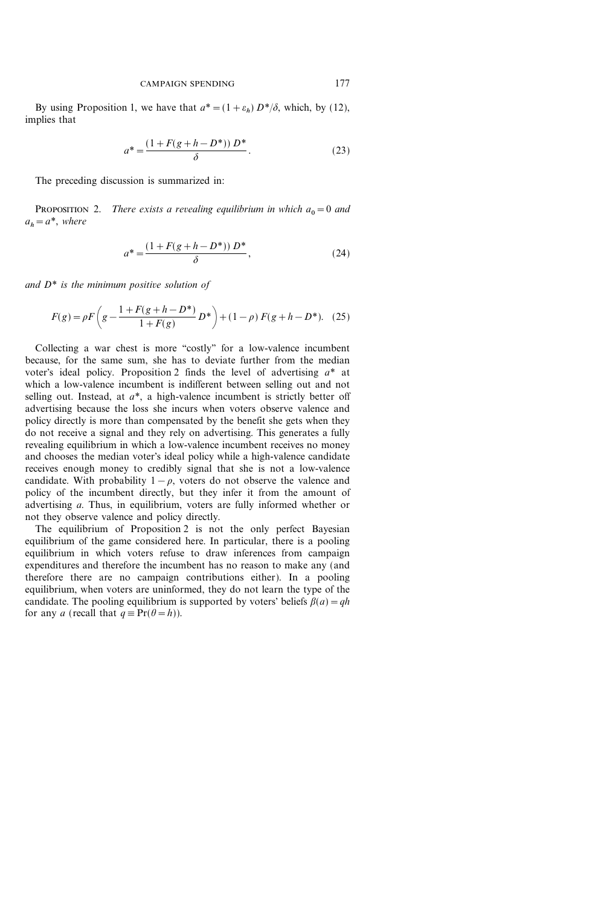By using Proposition 1, we have that  $a^* = (1 + \varepsilon_h) D^* / \delta$ , which, by (12), implies that

$$
a^* = \frac{(1 + F(g + h - D^*)) D^*}{\delta}.
$$
 (23)

The preceding discussion is summarized in:

PROPOSITION 2. There exists a revealing equilibrium in which  $a_0=0$  and  $a_h=a^*$ , where

$$
a^* = \frac{(1 + F(g + h - D^*)) D^*}{\delta},
$$
\n(24)

and  $D^*$  is the minimum positive solution of

$$
F(g) = \rho F\left(g - \frac{1 + F(g + h - D^*)}{1 + F(g)} D^*\right) + (1 - \rho) F(g + h - D^*).
$$
 (25)

Collecting a war chest is more "costly" for a low-valence incumbent because, for the same sum, she has to deviate further from the median voter's ideal policy. Proposition 2 finds the level of advertising  $a^*$  at which a low-valence incumbent is indifferent between selling out and not selling out. Instead, at  $a^*$ , a high-valence incumbent is strictly better off advertising because the loss she incurs when voters observe valence and policy directly is more than compensated by the benefit she gets when they do not receive a signal and they rely on advertising. This generates a fully revealing equilibrium in which a low-valence incumbent receives no money and chooses the median voter's ideal policy while a high-valence candidate receives enough money to credibly signal that she is not a low-valence candidate. With probability  $1-\rho$ , voters do not observe the valence and policy of the incumbent directly, but they infer it from the amount of advertising a. Thus, in equilibrium, voters are fully informed whether or not they observe valence and policy directly.

The equilibrium of Proposition 2 is not the only perfect Bayesian equilibrium of the game considered here. In particular, there is a pooling equilibrium in which voters refuse to draw inferences from campaign expenditures and therefore the incumbent has no reason to make any (and therefore there are no campaign contributions either). In a pooling equilibrium, when voters are uninformed, they do not learn the type of the candidate. The pooling equilibrium is supported by voters' beliefs  $\beta(a) = gh$ for any a (recall that  $q \equiv Pr(\theta = h)$ ).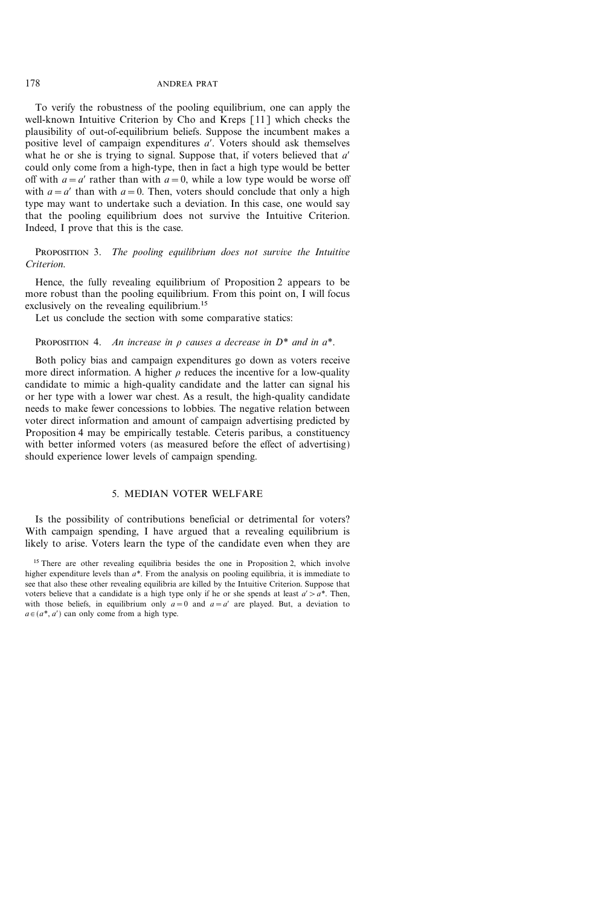To verify the robustness of the pooling equilibrium, one can apply the well-known Intuitive Criterion by Cho and Kreps [11] which checks the plausibility of out-of-equilibrium beliefs. Suppose the incumbent makes a positive level of campaign expenditures  $a'$ . Voters should ask themselves what he or she is trying to signal. Suppose that, if voters believed that  $a'$ could only come from a high-type, then in fact a high type would be better off with  $a=a'$  rather than with  $a=0$ , while a low type would be worse off with  $a=a'$  than with  $a=0$ . Then, voters should conclude that only a high type may want to undertake such a deviation. In this case, one would say that the pooling equilibrium does not survive the Intuitive Criterion. Indeed, I prove that this is the case.

Proposition 3. The pooling equilibrium does not survive the Intuitive Criterion.

Hence, the fully revealing equilibrium of Proposition 2 appears to be more robust than the pooling equilibrium. From this point on, I will focus exclusively on the revealing equilibrium.<sup>15</sup>

Let us conclude the section with some comparative statics:

# PROPOSITION 4. An increase in  $\rho$  causes a decrease in  $D^*$  and in  $a^*$ .

Both policy bias and campaign expenditures go down as voters receive more direct information. A higher  $\rho$  reduces the incentive for a low-quality candidate to mimic a high-quality candidate and the latter can signal his or her type with a lower war chest. As a result, the high-quality candidate needs to make fewer concessions to lobbies. The negative relation between voter direct information and amount of campaign advertising predicted by Proposition 4 may be empirically testable. Ceteris paribus, a constituency with better informed voters (as measured before the effect of advertising) should experience lower levels of campaign spending.

#### 5. MEDIAN VOTER WELFARE

Is the possibility of contributions beneficial or detrimental for voters? With campaign spending, I have argued that a revealing equilibrium is likely to arise. Voters learn the type of the candidate even when they are

<sup>&</sup>lt;sup>15</sup> There are other revealing equilibria besides the one in Proposition 2, which involve higher expenditure levels than  $a^*$ . From the analysis on pooling equilibria, it is immediate to see that also these other revealing equilibria are killed by the Intuitive Criterion. Suppose that voters believe that a candidate is a high type only if he or she spends at least  $a' > a^*$ . Then, with those beliefs, in equilibrium only  $a=0$  and  $a=a'$  are played. But, a deviation to  $a \in (a^*, a')$  can only come from a high type.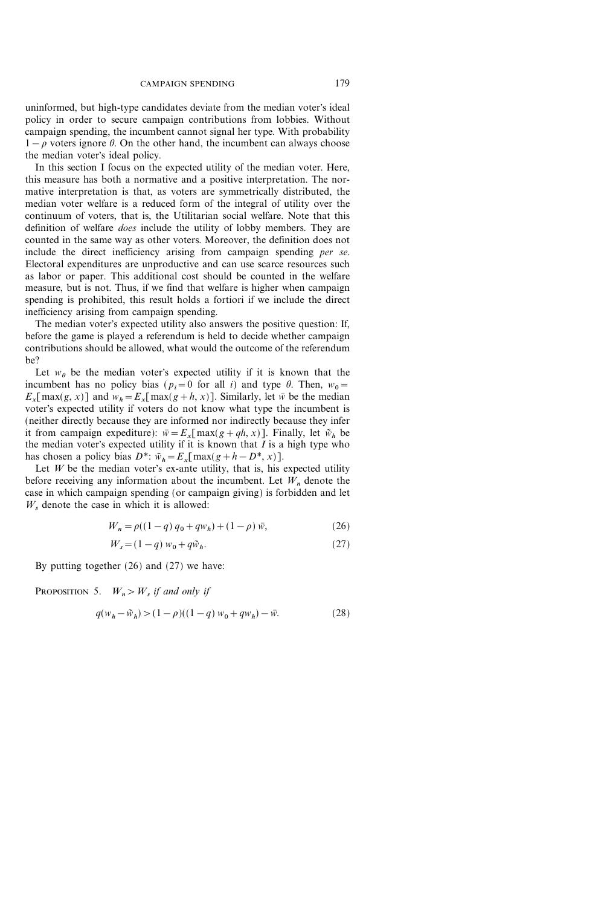uninformed, but high-type candidates deviate from the median voter's ideal policy in order to secure campaign contributions from lobbies. Without campaign spending, the incumbent cannot signal her type. With probability  $1-\rho$  voters ignore  $\theta$ . On the other hand, the incumbent can always choose the median voter's ideal policy.

In this section I focus on the expected utility of the median voter. Here, this measure has both a normative and a positive interpretation. The normative interpretation is that, as voters are symmetrically distributed, the median voter welfare is a reduced form of the integral of utility over the continuum of voters, that is, the Utilitarian social welfare. Note that this definition of welfare does include the utility of lobby members. They are counted in the same way as other voters. Moreover, the definition does not include the direct inefficiency arising from campaign spending per se. Electoral expenditures are unproductive and can use scarce resources such as labor or paper. This additional cost should be counted in the welfare measure, but is not. Thus, if we find that welfare is higher when campaign spending is prohibited, this result holds a fortiori if we include the direct inefficiency arising from campaign spending.

The median voter's expected utility also answers the positive question: If, before the game is played a referendum is held to decide whether campaign contributions should be allowed, what would the outcome of the referendum be?

Let  $w_{\theta}$  be the median voter's expected utility if it is known that the incumbent has no policy bias ( $p_i=0$  for all i) and type  $\theta$ . Then,  $w_0=$  $E_r[\max(g, x)]$  and  $w_b = E_r[\max(g+h, x)]$ . Similarly, let  $\overline{w}$  be the median voter's expected utility if voters do not know what type the incumbent is (neither directly because they are informed nor indirectly because they infer it from campaign expediture):  $\overline{w} = E_x[\max(g+qh, x)]$ . Finally, let  $\tilde{w}_h$  be the median voter's expected utility if it is known that  $I$  is a high type who has chosen a policy bias  $D^*$ :  $\tilde{w}_h = E_x[\max(g+h-D^*, x)].$ 

Let  $W$  be the median voter's ex-ante utility, that is, his expected utility before receiving any information about the incumbent. Let  $W_n$  denote the case in which campaign spending (or campaign giving) is forbidden and let  $W<sub>s</sub>$  denote the case in which it is allowed:

$$
W_n = \rho((1-q) q_0 + qw_h) + (1-\rho) \bar{w}, \qquad (26)
$$

$$
W_s = (1 - q) w_0 + q \tilde{w}_h. \tag{27}
$$

By putting together (26) and (27) we have:

PROPOSITION 5.  $W_n > W_s$  if and only if

$$
q(w_h - \tilde{w}_h) > (1 - \rho)((1 - q) w_0 + qw_h) - \bar{w}.\tag{28}
$$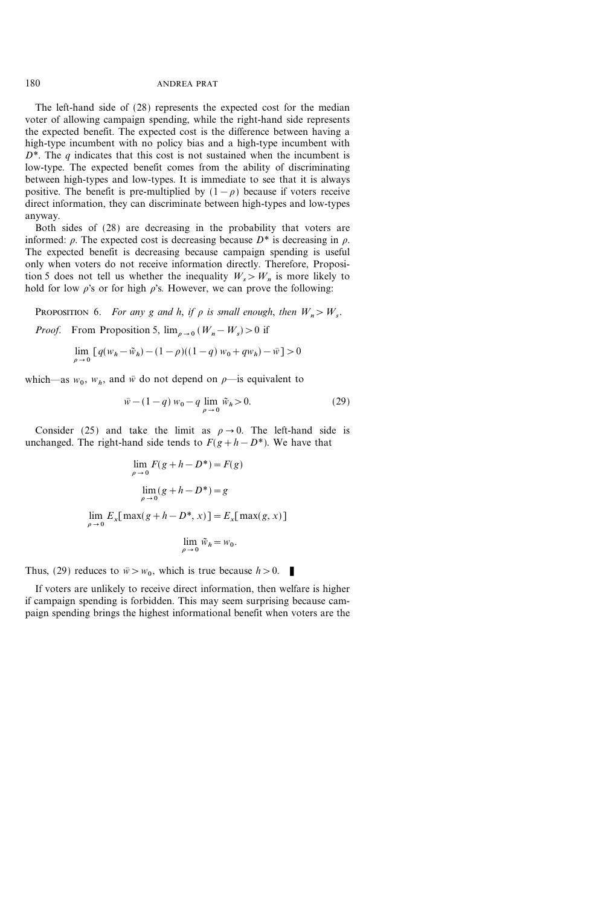## 180 ANDREA PRAT

The left-hand side of (28) represents the expected cost for the median voter of allowing campaign spending, while the right-hand side represents the expected benefit. The expected cost is the difference between having a high-type incumbent with no policy bias and a high-type incumbent with  $D^*$ . The q indicates that this cost is not sustained when the incumbent is low-type. The expected benefit comes from the ability of discriminating between high-types and low-types. It is immediate to see that it is always positive. The benefit is pre-multiplied by  $(1-\rho)$  because if voters receive direct information, they can discriminate between high-types and low-types anyway.

Both sides of (28) are decreasing in the probability that voters are informed:  $\rho$ . The expected cost is decreasing because  $D^*$  is decreasing in  $\rho$ . The expected benefit is decreasing because campaign spending is useful only when voters do not receive information directly. Therefore, Proposition 5 does not tell us whether the inequality  $W_s > W_n$  is more likely to hold for low  $\rho$ 's or for high  $\rho$ 's. However, we can prove the following:

PROPOSITION 6. For any g and h, if  $\rho$  is small enough, then  $W_n > W_s$ .

*Proof.* From Proposition 5, 
$$
\lim_{\rho \to 0} (W_n - W_s) > 0
$$
 if

$$
\lim_{\rho \to 0} \left[ q(w_h - \tilde{w}_h) - (1 - \rho)((1 - q) w_0 + qw_h) - \bar{w} \right] > 0
$$

which—as  $w_0$ ,  $w_h$ , and  $\bar{w}$  do not depend on  $\rho$ —is equivalent to

$$
\bar{w} - (1 - q) w_0 - q \lim_{\rho \to 0} \tilde{w}_h > 0.
$$
 (29)

Consider (25) and take the limit as  $\rho \rightarrow 0$ . The left-hand side is unchanged. The right-hand side tends to  $F(g+h-D^*)$ . We have that

$$
\lim_{\rho \to 0} F(g + h - D^*) = F(g)
$$

$$
\lim_{\rho \to 0} (g + h - D^*) = g
$$

$$
\lim_{\rho \to 0} E_x[\max(g + h - D^*, x)] = E_x[\max(g, x)]
$$

$$
\lim_{\rho \to 0} \tilde{w}_h = w_0.
$$

Thus, (29) reduces to  $\bar{w} > w_0$ , which is true because  $h > 0$ .

If voters are unlikely to receive direct information, then welfare is higher if campaign spending is forbidden. This may seem surprising because campaign spending brings the highest informational benefit when voters are the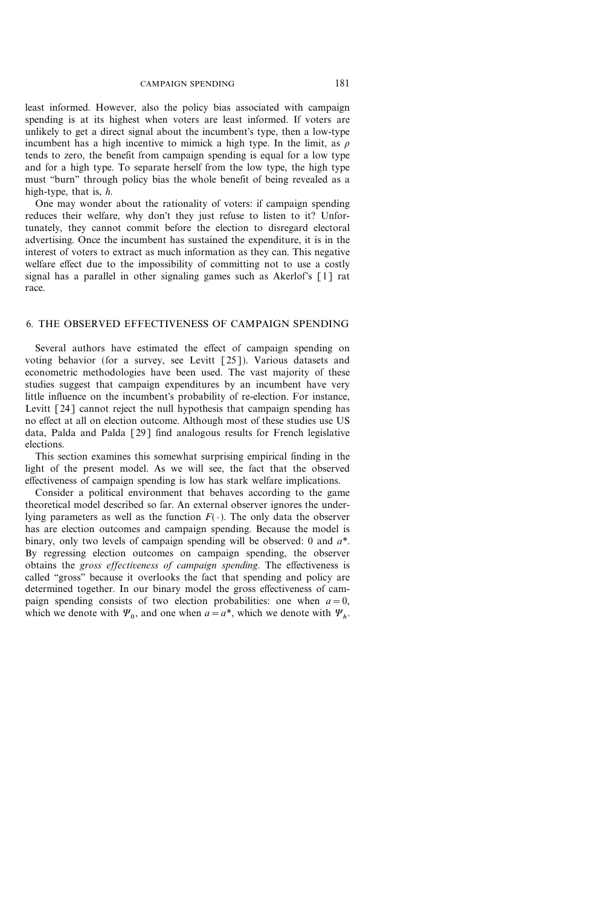least informed. However, also the policy bias associated with campaign spending is at its highest when voters are least informed. If voters are unlikely to get a direct signal about the incumbent's type, then a low-type incumbent has a high incentive to mimick a high type. In the limit, as  $\rho$ tends to zero, the benefit from campaign spending is equal for a low type and for a high type. To separate herself from the low type, the high type must "burn" through policy bias the whole benefit of being revealed as a high-type, that is, h.

One may wonder about the rationality of voters: if campaign spending reduces their welfare, why don't they just refuse to listen to it? Unfortunately, they cannot commit before the election to disregard electoral advertising. Once the incumbent has sustained the expenditure, it is in the interest of voters to extract as much information as they can. This negative welfare effect due to the impossibility of committing not to use a costly signal has a parallel in other signaling games such as Akerlof's [1] rat race.

## 6. THE OBSERVED EFFECTIVENESS OF CAMPAIGN SPENDING

Several authors have estimated the effect of campaign spending on voting behavior (for a survey, see Levitt [25]). Various datasets and econometric methodologies have been used. The vast majority of these studies suggest that campaign expenditures by an incumbent have very little influence on the incumbent's probability of re-election. For instance, Levitt [24] cannot reject the null hypothesis that campaign spending has no effect at all on election outcome. Although most of these studies use US data, Palda and Palda [29] find analogous results for French legislative elections.

This section examines this somewhat surprising empirical finding in the light of the present model. As we will see, the fact that the observed effectiveness of campaign spending is low has stark welfare implications.

Consider a political environment that behaves according to the game theoretical model described so far. An external observer ignores the underlying parameters as well as the function  $F(\cdot)$ . The only data the observer has are election outcomes and campaign spending. Because the model is binary, only two levels of campaign spending will be observed: 0 and  $a^*$ . By regressing election outcomes on campaign spending, the observer obtains the gross effectiveness of campaign spending. The effectiveness is called "gross" because it overlooks the fact that spending and policy are determined together. In our binary model the gross effectiveness of campaign spending consists of two election probabilities: one when  $a=0$ , which we denote with  $\Psi_0$ , and one when  $a = a^*$ , which we denote with  $\Psi_n$ .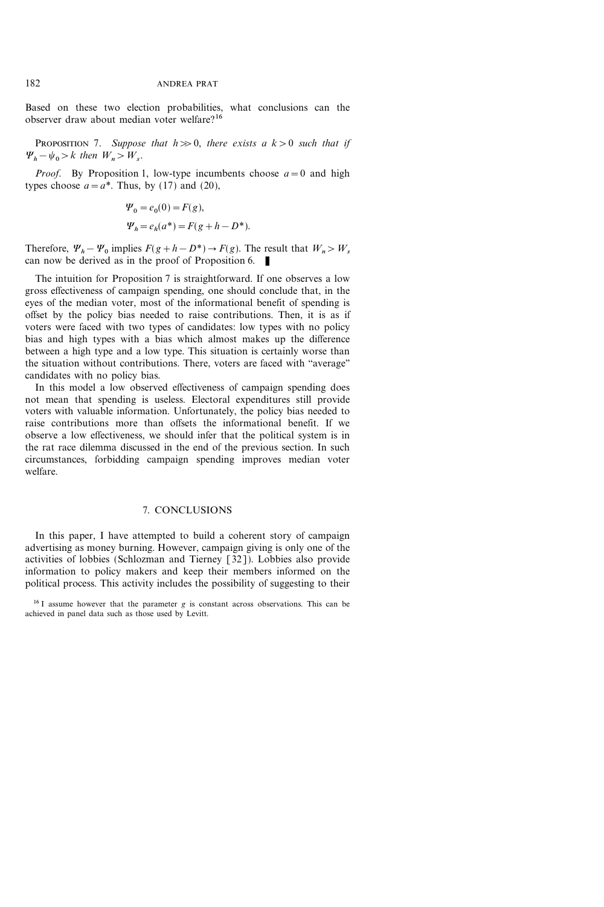Based on these two election probabilities, what conclusions can the observer draw about median voter welfare?<sup>16</sup>

PROPOSITION 7. Suppose that  $h \gg 0$ , there exists a  $k > 0$  such that if  $\Psi_h-\psi_0>k$  then  $W_n>W_s$ .

*Proof.* By Proposition 1, low-type incumbents choose  $a=0$  and high types choose  $a=a^*$ . Thus, by (17) and (20),

$$
\Psi_0 = e_0(0) = F(g),
$$
  

$$
\Psi_h = e_h(a^*) = F(g + h - D^*).
$$

Therefore,  $\Psi_h - \Psi_0$  implies  $F(g+h-D^*) \to F(g)$ . The result that  $W_n > W_s$ can now be derived as in the proof of Proposition 6.  $\blacksquare$ 

The intuition for Proposition 7 is straightforward. If one observes a low gross effectiveness of campaign spending, one should conclude that, in the eyes of the median voter, most of the informational benefit of spending is offset by the policy bias needed to raise contributions. Then, it is as if voters were faced with two types of candidates: low types with no policy bias and high types with a bias which almost makes up the difference between a high type and a low type. This situation is certainly worse than the situation without contributions. There, voters are faced with "average" candidates with no policy bias.

In this model a low observed effectiveness of campaign spending does not mean that spending is useless. Electoral expenditures still provide voters with valuable information. Unfortunately, the policy bias needed to raise contributions more than offsets the informational benefit. If we observe a low effectiveness, we should infer that the political system is in the rat race dilemma discussed in the end of the previous section. In such circumstances, forbidding campaign spending improves median voter welfare.

### 7. CONCLUSIONS

In this paper, I have attempted to build a coherent story of campaign advertising as money burning. However, campaign giving is only one of the activities of lobbies (Schlozman and Tierney [32]). Lobbies also provide information to policy makers and keep their members informed on the political process. This activity includes the possibility of suggesting to their

 $16$  I assume however that the parameter g is constant across observations. This can be achieved in panel data such as those used by Levitt.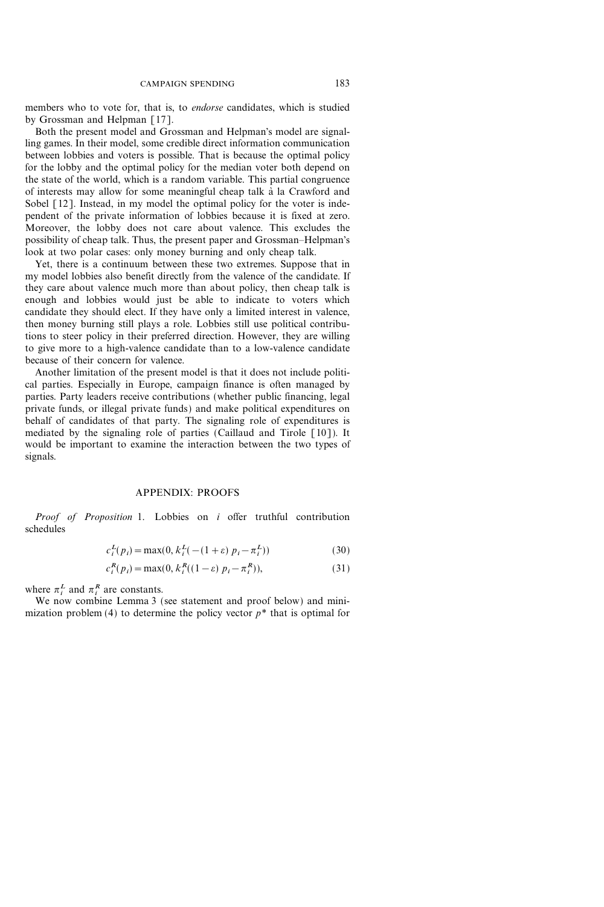members who to vote for, that is, to *endorse* candidates, which is studied by Grossman and Helpman [17].

Both the present model and Grossman and Helpman's model are signalling games. In their model, some credible direct information communication between lobbies and voters is possible. That is because the optimal policy for the lobby and the optimal policy for the median voter both depend on the state of the world, which is a random variable. This partial congruence of interests may allow for some meaningful cheap talk a la Crawford and Sobel [12]. Instead, in my model the optimal policy for the voter is independent of the private information of lobbies because it is fixed at zero. Moreover, the lobby does not care about valence. This excludes the possibility of cheap talk. Thus, the present paper and Grossman–Helpman's look at two polar cases: only money burning and only cheap talk.

Yet, there is a continuum between these two extremes. Suppose that in my model lobbies also benefit directly from the valence of the candidate. If they care about valence much more than about policy, then cheap talk is enough and lobbies would just be able to indicate to voters which candidate they should elect. If they have only a limited interest in valence, then money burning still plays a role. Lobbies still use political contributions to steer policy in their preferred direction. However, they are willing to give more to a high-valence candidate than to a low-valence candidate because of their concern for valence.

Another limitation of the present model is that it does not include political parties. Especially in Europe, campaign finance is often managed by parties. Party leaders receive contributions (whether public financing, legal private funds, or illegal private funds) and make political expenditures on behalf of candidates of that party. The signaling role of expenditures is mediated by the signaling role of parties (Caillaud and Tirole [10]). It would be important to examine the interaction between the two types of signals.

## APPENDIX: PROOFS

Proof of Proposition 1. Lobbies on i offer truthful contribution schedules

$$
c_i^L(p_i) = \max(0, k_i^L(-(1+\varepsilon) p_i - \pi_i^L))
$$
\n(30)

$$
c_i^R(p_i) = \max(0, k_i^R((1 - \varepsilon) p_i - \pi_i^R)),
$$
\n(31)

where  $\pi_i^L$  and  $\pi_i^R$  are constants.

We now combine Lemma 3 (see statement and proof below) and minimization problem (4) to determine the policy vector  $p^*$  that is optimal for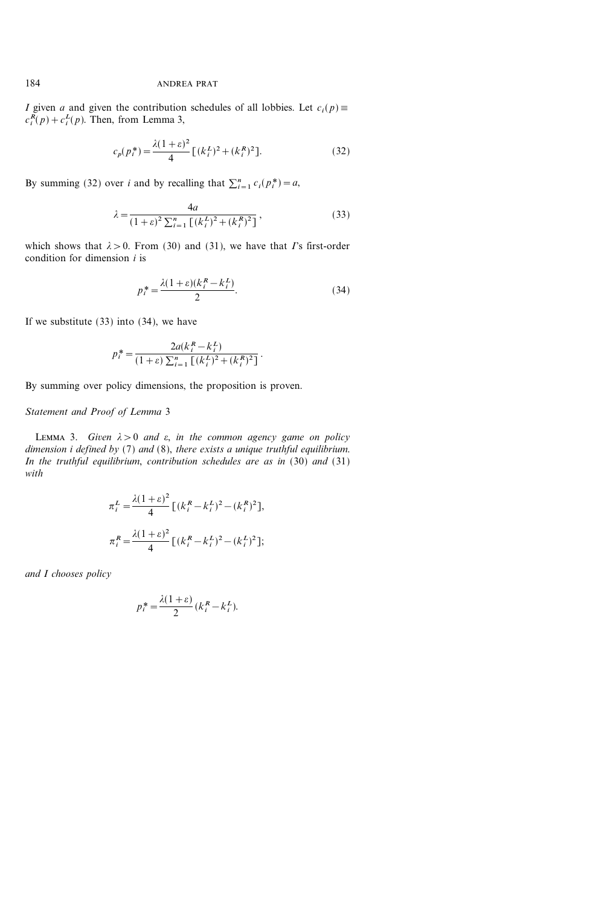I given a and given the contribution schedules of all lobbies. Let  $c_i(p)$   $\equiv$  $c_i^R(p) + c_i^L(p)$ . Then, from Lemma 3,

$$
c_p(p_i^*) = \frac{\lambda(1+\varepsilon)^2}{4} \left[ (k_i^L)^2 + (k_i^R)^2 \right].
$$
 (32)

By summing (32) over *i* and by recalling that  $\sum_{i=1}^{n} c_i(p_i^*) = a$ ,

$$
\lambda = \frac{4a}{(1+\varepsilon)^2 \sum_{i=1}^n \left[ (k_i^L)^2 + (k_i^R)^2 \right]},
$$
\n(33)

which shows that  $\lambda > 0$ . From (30) and (31), we have that I's first-order condition for dimension  $i$  is

$$
p_i^* = \frac{\lambda(1+\varepsilon)(k_i^R - k_i^L)}{2}.
$$
 (34)

If we substitute  $(33)$  into  $(34)$ , we have

$$
p_i^* = \frac{2a(k_i^R - k_i^L)}{(1 + \varepsilon) \sum_{i=1}^n \left[ (k_i^L)^2 + (k_i^R)^2 \right]}.
$$

By summing over policy dimensions, the proposition is proven.

Statement and Proof of Lemma 3

LEMMA 3. Given  $\lambda > 0$  and  $\varepsilon$ , in the common agency game on policy dimension i defined by (7) and (8), there exists a unique truthful equilibrium. In the truthful equilibrium, contribution schedules are as in (30) and (31) with

$$
\pi_i^L = \frac{\lambda (1 + \varepsilon)^2}{4} \left[ (k_i^R - k_i^L)^2 - (k_i^R)^2 \right],
$$
  

$$
\pi_i^R = \frac{\lambda (1 + \varepsilon)^2}{4} \left[ (k_i^R - k_i^L)^2 - (k_i^L)^2 \right];
$$

and I chooses policy

$$
p_i^* = \frac{\lambda(1+\varepsilon)}{2} \left( k_i^R - k_i^L \right).
$$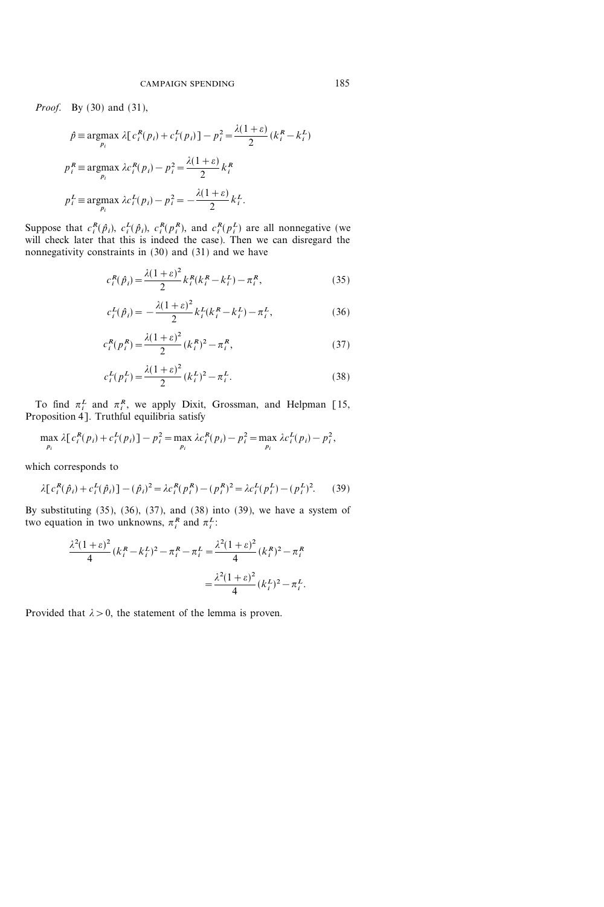*Proof.* By (30) and (31),

$$
\hat{p} \equiv \underset{p_i}{\operatorname{argmax}} \ \lambda \big[ c_i^R(p_i) + c_i^L(p_i) \big] - p_i^2 = \frac{\lambda (1 + \varepsilon)}{2} \left( k_i^R - k_i^L \right)
$$
\n
$$
p_i^R \equiv \underset{p_i}{\operatorname{argmax}} \ \lambda c_i^R(p_i) - p_i^2 = \frac{\lambda (1 + \varepsilon)}{2} \, k_i^R
$$
\n
$$
p_i^L \equiv \underset{p_i}{\operatorname{argmax}} \ \lambda c_i^L(p_i) - p_i^2 = -\frac{\lambda (1 + \varepsilon)}{2} \, k_i^L.
$$

Suppose that  $c_i^R(\hat{p}_i)$ ,  $c_i^L(\hat{p}_i)$ ,  $c_i^R(p_i^R)$ , and  $c_i^R(p_i^L)$  are all nonnegative (we will check later that this is indeed the case). Then we can disregard the nonnegativity constraints in (30) and (31) and we have

$$
c_i^R(\hat{p}_i) = \frac{\lambda (1+\varepsilon)^2}{2} k_i^R(k_i^R - k_i^L) - \pi_i^R,
$$
\n(35)

$$
c_i^L(\hat{p}_i) = -\frac{\lambda(1+\varepsilon)^2}{2} k_i^L(k_i^R - k_i^L) - \pi_i^L,
$$
\n(36)

$$
c_i^R(p_i^R) = \frac{\lambda(1+\varepsilon)^2}{2} (k_i^R)^2 - \pi_i^R,
$$
\n(37)

$$
c_i^L(p_i^L) = \frac{\lambda(1+\varepsilon)^2}{2} (k_i^L)^2 - \pi_i^L.
$$
 (38)

To find  $\pi_i^L$  and  $\pi_i^R$ , we apply Dixit, Grossman, and Helpman [15, Proposition 4]. Truthful equilibria satisfy

$$
\max_{p_i} \lambda [c_i^R(p_i) + c_i^L(p_i)] - p_i^2 = \max_{p_i} \lambda c_i^R(p_i) - p_i^2 = \max_{p_i} \lambda c_i^L(p_i) - p_i^2,
$$

which corresponds to

$$
\lambda [c_i^R(\hat{p}_i) + c_i^L(\hat{p}_i)] - (\hat{p}_i)^2 = \lambda c_i^R(p_i^R) - (p_i^R)^2 = \lambda c_i^L(p_i^L) - (p_i^L)^2. \tag{39}
$$

By substituting  $(35)$ ,  $(36)$ ,  $(37)$ , and  $(38)$  into  $(39)$ , we have a system of two equation in two unknowns,  $\pi_i^R$  and  $\pi_i^L$ :

$$
\frac{\lambda^2 (1+\varepsilon)^2}{4} (k_i^R - k_i^L)^2 - \pi_i^R - \pi_i^L = \frac{\lambda^2 (1+\varepsilon)^2}{4} (k_i^R)^2 - \pi_i^R
$$

$$
= \frac{\lambda^2 (1+\varepsilon)^2}{4} (k_i^L)^2 - \pi_i^L.
$$

Provided that  $\lambda > 0$ , the statement of the lemma is proven.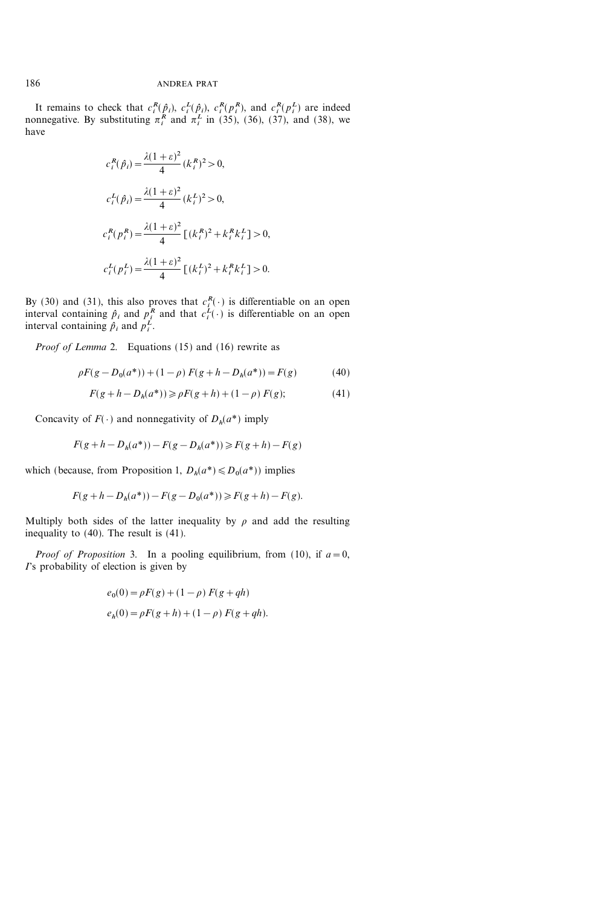### 186 ANDREA PRAT

It remains to check that  $c_i^R(\hat{p}_i)$ ,  $c_i^L(\hat{p}_i)$ ,  $c_i^R(p_i^R)$ , and  $c_i^R(p_i^L)$  are indeed nonnegative. By substituting  $\pi_i^R$  and  $\pi_i^L$  in (35), (36), (37), and (38), we have

$$
c_i^R(\hat{p}_i) = \frac{\lambda(1+\varepsilon)^2}{4} (k_i^R)^2 > 0,
$$
  
\n
$$
c_i^L(\hat{p}_i) = \frac{\lambda(1+\varepsilon)^2}{4} (k_i^L)^2 > 0,
$$
  
\n
$$
c_i^R(p_i^R) = \frac{\lambda(1+\varepsilon)^2}{4} [(k_i^R)^2 + k_i^R k_i^L] > 0,
$$
  
\n
$$
c_i^L(p_i^L) = \frac{\lambda(1+\varepsilon)^2}{4} [(k_i^L)^2 + k_i^R k_i^L] > 0.
$$

By (30) and (31), this also proves that  $c_i^R(\cdot)$  is differentiable on an open interval containing  $\hat{p}_i$  and  $p_i^R$  and that  $c_i^L(\cdot)$  is differentiable on an open interval containing  $\hat{p}_i$  and  $p_i^L$ .

Proof of Lemma 2. Equations (15) and (16) rewrite as

$$
\rho F(g - D_0(a^*)) + (1 - \rho) F(g + h - D_h(a^*)) = F(g) \tag{40}
$$

$$
F(g + h - D_h(a^*)) \ge \rho F(g + h) + (1 - \rho) F(g); \tag{41}
$$

Concavity of  $F(\cdot)$  and nonnegativity of  $D_h(a^*)$  imply

$$
F(g + h - D_h(a^*)) - F(g - D_h(a^*)) \ge F(g + h) - F(g)
$$

which (because, from Proposition 1,  $D_h(a^*) \le D_0(a^*)$ ) implies

$$
F(g+h-D_h(a^*))-F(g-D_0(a^*))\geqslant F(g+h)-F(g).
$$

Multiply both sides of the latter inequality by  $\rho$  and add the resulting inequality to (40). The result is (41).

*Proof of Proposition* 3. In a pooling equilibrium, from (10), if  $a=0$ , I's probability of election is given by

$$
e_0(0) = \rho F(g) + (1 - \rho) F(g + qh)
$$
  

$$
e_h(0) = \rho F(g + h) + (1 - \rho) F(g + qh).
$$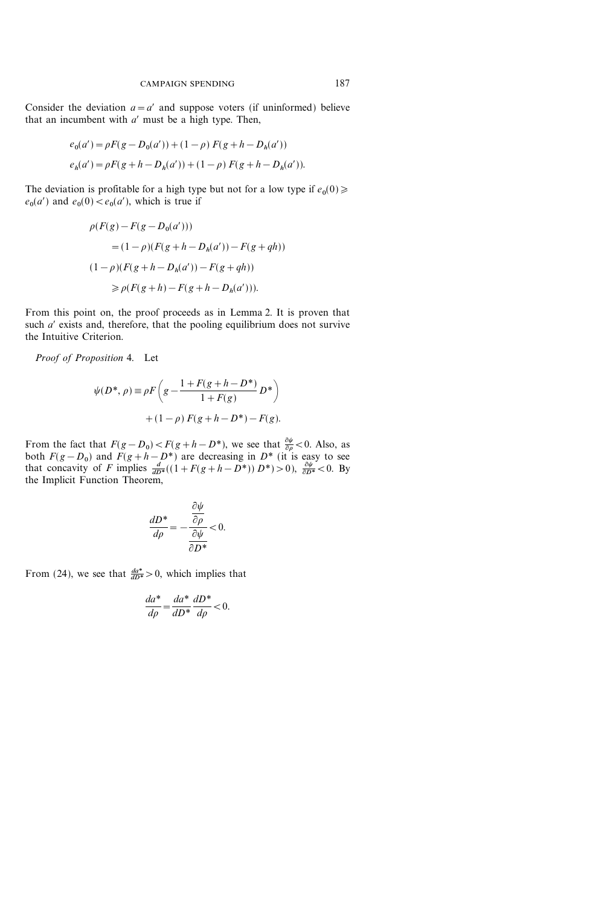Consider the deviation  $a = a'$  and suppose voters (if uninformed) believe that an incumbent with  $a'$  must be a high type. Then,

$$
e_0(a') = \rho F(g - D_0(a')) + (1 - \rho) F(g + h - D_h(a'))
$$
  

$$
e_h(a') = \rho F(g + h - D_h(a')) + (1 - \rho) F(g + h - D_h(a')).
$$

The deviation is profitable for a high type but not for a low type if  $e_0(0) \ge$  $e_0(a')$  and  $e_0(0) < e_0(a')$ , which is true if

$$
\rho(F(g) - F(g - D_0(a'))) = (1 - \rho)(F(g + h - D_h(a')) - F(g + qh))(1 - \rho)(F(g + h - D_h(a')) - F(g + qh)) \ge \rho(F(g + h) - F(g + h - D_h(a'))).
$$

From this point on, the proof proceeds as in Lemma 2. It is proven that such  $a'$  exists and, therefore, that the pooling equilibrium does not survive the Intuitive Criterion.

Proof of Proposition 4. Let

$$
\psi(D^*, \rho) \equiv \rho F\left(g - \frac{1 + F(g + h - D^*)}{1 + F(g)} D^*\right) \n+ (1 - \rho) F(g + h - D^*) - F(g).
$$

From the fact that  $F(g-D_0) < F(g+h-D^*)$ , we see that  $\frac{\partial \psi}{\partial \rho} < 0$ . Also, as both  $F(g-D_0)$  and  $F(g+h-D^*)$  are decreasing in  $D^*$  (it is easy to see that concavity of F implies  $\frac{d}{dD^*}((1+F(g+h-D^*)) D^*) > 0$ ,  $\frac{\partial \psi}{\partial D^*} < 0$ . By the Implicit Function Theorem,

$$
\frac{dD^*}{d\rho} = -\frac{\frac{\partial \psi}{\partial \rho}}{\frac{\partial \psi}{\partial D^*}} < 0.
$$

From (24), we see that  $\frac{da^*}{dD^*} > 0$ , which implies that

$$
\frac{da^*}{d\rho} = \frac{da^*}{dD^*} \frac{dD^*}{d\rho} < 0.
$$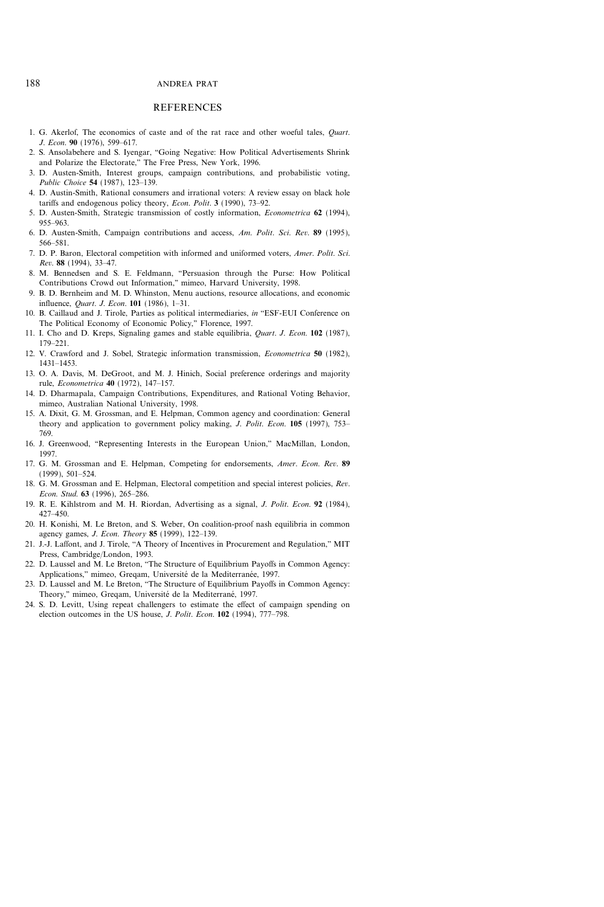## 188 ANDREA PRAT

#### **REFERENCES**

- 1. G. Akerlof, The economics of caste and of the rat race and other woeful tales, Quart. J. Econ. 90 (1976), 599-617.
- 2. S. Ansolabehere and S. Iyengar, "Going Negative: How Political Advertisements Shrink and Polarize the Electorate,'' The Free Press, New York, 1996.
- 3. D. Austen-Smith, Interest groups, campaign contributions, and probabilistic voting, Public Choice 54 (1987), 123-139.
- 4. D. Austin-Smith, Rational consumers and irrational voters: A review essay on black hole tariffs and endogenous policy theory, *Econ. Polit.*  $3$  (1990), 73–92.
- 5. D. Austen-Smith, Strategic transmission of costly information, Econometrica 62 (1994), 955-963.
- 6. D. Austen-Smith, Campaign contributions and access, Am. Polit. Sci. Rev. 89 (1995), 566-581.
- 7. D. P. Baron, Electoral competition with informed and uniformed voters, Amer. Polit. Sci. Rev. 88 (1994), 33-47.
- 8. M. Bennedsen and S. E. Feldmann, "Persuasion through the Purse: How Political Contributions Crowd out Information,'' mimeo, Harvard University, 1998.
- 9. B. D. Bernheim and M. D. Whinston, Menu auctions, resource allocations, and economic influence, *Quart. J. Econ.* **101** (1986), 1-31.
- 10. B. Caillaud and J. Tirole, Parties as political intermediaries, in "ESF-EUI Conference on The Political Economy of Economic Policy,'' Florence, 1997.
- 11. I. Cho and D. Kreps, Signaling games and stable equilibria, Quart. J. Econ. 102 (1987), 179221.
- 12. V. Crawford and J. Sobel, Strategic information transmission, Econometrica 50 (1982), 1431-1453.
- 13. O. A. Davis, M. DeGroot, and M. J. Hinich, Social preference orderings and majority rule, Econometrica 40 (1972), 147-157.
- 14. D. Dharmapala, Campaign Contributions, Expenditures, and Rational Voting Behavior, mimeo, Australian National University, 1998.
- 15. A. Dixit, G. M. Grossman, and E. Helpman, Common agency and coordination: General theory and application to government policy making, *J. Polit. Econ.* 105 (1997), 753– 769.
- 16. J. Greenwood, "Representing Interests in the European Union," MacMillan, London, 1997.
- 17. G. M. Grossman and E. Helpman, Competing for endorsements, Amer. Econ. Rev. 89  $(1999)$ , 501-524.
- 18. G. M. Grossman and E. Helpman, Electoral competition and special interest policies, Rev. Econ. Stud. 63 (1996), 265-286.
- 19. R. E. Kihlstrom and M. H. Riordan, Advertising as a signal, J. Polit. Econ. 92 (1984), 427-450.
- 20. H. Konishi, M. Le Breton, and S. Weber, On coalition-proof nash equilibria in common agency games, *J. Econ. Theory* 85 (1999), 122-139.
- 21. J.-J. Laffont, and J. Tirole, "A Theory of Incentives in Procurement and Regulation," MIT Press, Cambridge/London, 1993.
- 22. D. Laussel and M. Le Breton, "The Structure of Equilibrium Payoffs in Common Agency: Applications," mimeo, Greqam, Université de la Mediterranée, 1997.
- 23. D. Laussel and M. Le Breton, "The Structure of Equilibrium Payoffs in Common Agency: Theory," mimeo, Gregam, Université de la Mediterrané, 1997.
- 24. S. D. Levitt, Using repeat challengers to estimate the effect of campaign spending on election outcomes in the US house, J. Polit. Econ. 102 (1994), 777-798.